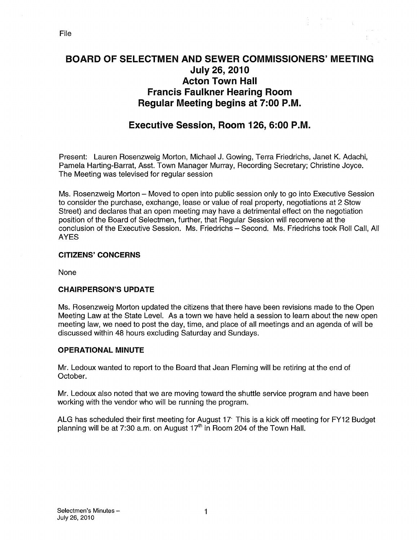# BOARD OF SELECTMEN AND SEWER COMMISSIONERS' MEETING July 26, 2010 Acton Town Hall Francis Faulkner Hearing Room Regular Meeting begins at 7:00 P.M.

# Executive Session, Room 126, 6:00 P.M.

Present: Lauren Rosenzweig Morton, Michael J. Gowing, Terra Friedrichs, Janet K. Adachi, Pamela Harting-Barrat, Asst. Town Manager Murray, Recording Secretary; Christine Joyce. The Meeting was televised for regular session

Ms. Rosenzweig Morton — Moved to open into public session only to go into Executive Session to consider the purchase, exchange, lease or value of real property, negotiations at 2 Stow Street) and declares that an open meeting may have a detrimental effect on the negotiation position of the Board of Selectmen, further, that Regular Session will reconvene at the conclusion of the Executive Session. Ms. Friedrichs — Second. Ms. Friedrichs took Roll Call, All AYES

#### CITIZENS' CONCERNS

None

#### CHAIRPERSON'S UPDATE

Ms. Rosenzweig Morton updated the citizens that there have been revisions made to the Open Meeting Law at the State Level. As a town we have held a session to learn about the new open meeting law, we need to post the day, time, and place of all meetings and an agenda of will be discussed within 48 hours excluding Saturday and Sundays.

#### OPERATIONAL MINUTE

Mr. Ledoux wanted to report to the Board that Jean Fleming will be retiring at the end of October.

Mr. Ledoux also noted that we are moving toward the shuttle service program and have been working with the vendor who will be running the program.

ALG has scheduled their first meeting for August 17 This is a kick off meeting for FY12 Budget planning will be at 7:30 a.m. on August  $17<sup>th</sup>$  in Room 204 of the Town Hall.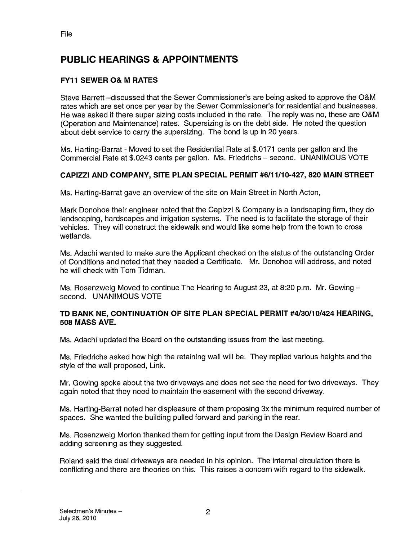# PUBLIC HEARINGS & APPOINTMENTS

### FY11 SEWER O& M RATES

Steve Barrett —discussed that the Sewer Commissioner's are being asked to approve the O&M rates which are set once per year by the Sewer Commissioner's for residential and businesses. He was asked it there super sizing costs included in the rate. The reply was no, these are O&M (Operation and Maintenance) rates. Supersizing is on the debt side. He noted the question about debt service to carry the supersizing. The bond is up in 20 years.

Ms. Harting-Barrat - Moved to set the Residential Rate at \$.0171 cents per gallon and the Commercial Rate at \$.0243 cents per gallon. Ms. Friedrichs — second. UNANIMOUS VOTE

#### CAPIZZI AND COMPANY, SITE PLAN SPECIAL PERMIT #6/11/10-427, 820 MAIN STREET

Ms. Harting-Barrat gave an overview of the site on Main Street in North Acton,

Mark Donohoe their engineer noted that the Capizzi & Company is a landscaping firm, they do landscaping, hardscapes and irrigation systems. The need is to facilitate the storage of their vehicles. They will construct the sidewalk and would like some help from the town to cross wetlands.

Ms. Adachi wanted to make sure the Applicant checked on the status of the outstanding Order of Conditions and noted that they needed a Certificate. Mr. Donohoe will address, and noted he will check with Tom Tidman.

Ms. Rosenzweig Moved to continue The Hearing to August 23, at 8:20 p.m. Mr. Gowing second. UNANIMOUS VOTE

#### TD BANK NE, CONTINUATION OF SITE PLAN SPECIAL PERMIT #4/30/10/424 HEARING, 508 MASS AVE.

Ms. Adachi updated the Board on the outstanding issues from the last meeting.

Ms. Friedrichs asked how high the retaining wall will be. They replied various heights and the style of the wall proposed, Link.

Mr. Gowing spoke about the two driveways and does not see the need for two driveways. They again noted that they need to maintain the easement with the second driveway.

Ms. Harting-Barrat noted her displeasure of them proposing 3x the minimum required number of spaces. She wanted the building pulled forward and parking in the rear.

Ms. Rosenzweig Morton thanked them for getting input from the Design Review Board and adding screening as they suggested.

Roland said the dual driveways are needed in his opinion. The internal circulation there is conflicting and there are theories on this. This raises a concern with regard to the sidewalk.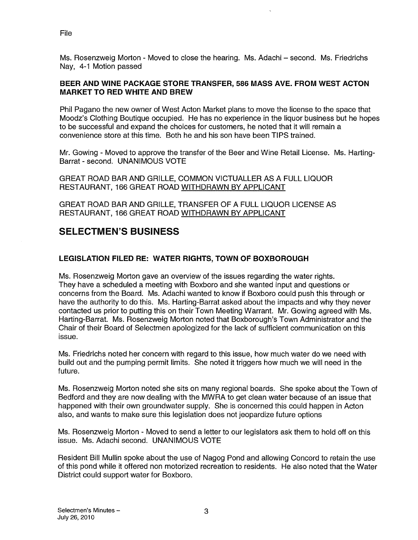File

Ms. Rosenzweig Morton - Moved to close the hearing. Ms. Adachi — second. Ms. Friedrichs Nay, 4-1 Motion passed

#### BEER AND WINE PACKAGE STORE TRANSFER, 586 MASS AVE. FROM WEST ACTON MARKET TO RED WHITE AND BREW

Phil Pagano the new owner of West Acton Market plans to move the license to the space that Moodz's Clothing Boutique occupied. He has no experience in the liquor business but he hopes to be successful and expand the choices for customers, he noted that it will remain a convenience store at this time. Both he and his son have been TIPS trained.

Mr. Gowing - Moved to approve the transfer of the Beer and Wine Retail License. Ms. Harting-Barrat - second. UNANIMOUS VOTE

GREAT ROAD BAR AND GRILLE, COMMON VICTUALLER AS A FULL LIQUOR RESTAURANT, 166 GREAT ROAD WITHDRAWN BY APPLICANT

GREAT ROAD BAR AND GRILLE, TRANSFER OF A FULL LIQUOR LICENSE AS RESTAURANT, 166 GREAT ROAD WITHDRAWN BY APPLICANT

# SELECTMEN'S BUSINESS

## LEGISLATION FILED RE: WATER RIGHTS, TOWN OF BOXBOROUGH

Ms. Rosenzweig Morton gave an overview of the issues regarding the water rights. They have a scheduled a meeting with Boxboro and she wanted input and questions or concerns from the Board. Ms. Adachi wanted to know if Boxboro could push this through or have the authority to do this. Ms. Harting-Barrat asked about the impacts and why they never contacted us prior to putting this on their Town Meeting Warrant. Mr. Gowing agreed with Ms. Harting-Barrat. Ms. Rosenzweig Morton noted that Boxborough's Town Administrator and the Chair of their Board of Selectmen apologized for the lack of sufficient communication on this issue.

Ms. Friedrichs noted her concern with regard to this issue, how much water do we need with build out and the pumping permit limits. She noted it triggers how much we will need in the future.

Ms. Rosenzweig Morton noted she sits on many regional boards. She spoke about the Town of Bedford and they are now dealing with the MWRA to get clean water because of an issue that happened with their own groundwater supply. She is concerned this could happen in Acton also, and wants to make sure this legislation does not jeopardize future options

Ms. Rosenzweig Morton - Moved to send a letter to our legislators ask them to hold off on this issue. Ms. Adachi second. UNANIMOUS VOTE

Resident Bill Mullin spoke about the use of Nagog Pond and allowing Concord to retain the use of this pond while it offered non motorized recreation to residents. He also noted that the Water District could support water for Boxboro.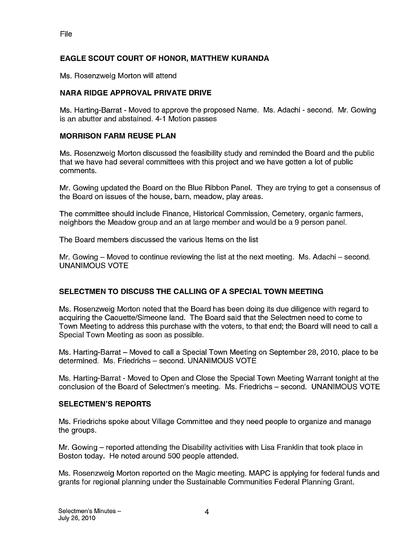#### EAGLE SCOUT COURT OF HONOR, MATTHEW KURANDA

Ms. Rosenzweig Morton will attend

#### NARA RIDGE APPROVAL PRIVATE DRIVE

Ms. Harting-Barrat - Moved to approve the proposed Name. Ms. Adachi - second. Mr. Gowing is an abutter and abstained. 4-1 Motion passes

#### MORRISON FARM REUSE PLAN

Ms. Rosenzweig Morton discussed the feasibility study and reminded the Board and the public that we have had several committees with this project and we have gotten a lot of public comments.

Mr. Gowing updated the Board on the Blue Ribbon Panel. They are trying to get a consensus of the Board on issues of the house, barn, meadow, play areas.

The committee should include Finance, Historical Commission, Cemetery, organic farmers, neighbors the Meadow group and an at large member and would be a 9 person panel.

The Board members discussed the various Items on the list

Mr. Gowing — Moved to continue reviewing the list at the next meeting. Ms. Adachi — second. UNANIMOUS VOTE

#### SELECTMEN TO DISCUSS THE CALLING OF A SPECIAL TOWN MEETING

Ms. Rosenzweig Morton noted that the Board has been doing its due diligence with regard to acquiring the Caouette/Simeone land. The Board said that the Selectmen need to come to Town Meeting to address this purchase with the voters, to that end; the Board will need to call a Special Town Meeting as soon as possible.

Ms. Harting-Barrat — Moved to call a Special Town Meeting on September 28, 2010, place to be determined. Ms. Friedrichs — second. UNANIMOUS VOTE

Ms. Harting-Barrat - Moved to Open and Close the Special Town Meeting Warrant tonight at the conclusion of the Board of Selectmen's meeting. Ms. Friedrichs — second. UNANIMOUS VOTE

#### SELECTMEN'S REPORTS

Ms. Friedrichs spoke about Village Committee and they need people to organize and manage the groups.

Mr. Gowing — reported attending the Disability activities with Lisa Franklin that took place in Boston today. He noted around 500 people attended.

Ms. Rosenzweig Morton reported on the Magic meeting. MAPC is applying for federal funds and grants for regional planning under the Sustainable Communities Federal Planning Grant.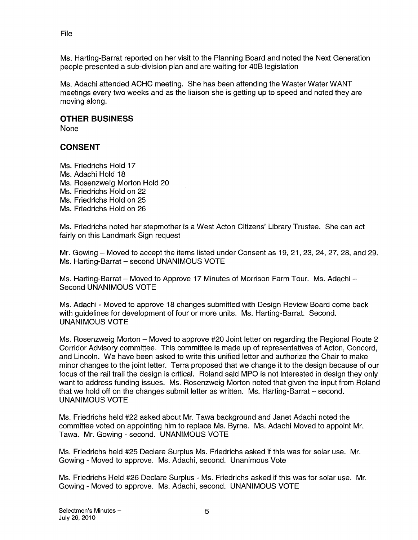File

Ms. Harting-Barrat reported on her visit to the Planning Board and noted the Next Generation people presented a sub-division plan and are waiting for 40B legislation

Ms. Adachi attended ACHC meeting. She has been attending the Waster Water WANT meetings every two weeks and as the liaison she is getting up to speed and noted they are moving along.

#### OTHER BUSINESS

None

### CONSENT

Ms. Friedrichs Hold 17 Ms. Adachi Hold 18 Ms. Rosenzweig Morton Hold 20 Ms. Friedrichs Hold on 22 Ms. Friedrichs Hold on 25 Ms. Friedrichs Hold on 26

Ms. Friedrichs noted her stepmother is a West Acton Citizens' Library Trustee. She can act fairly on this Landmark Sign request

Mr. Gowing — Moved to accept the items listed under Consent as 19, 21, 23, 24, 27, 28, and 29. Ms. Harting-Barrat — second UNANIMOUS VOTE

Ms. Harting-Barrat — Moved to Approve 17 Minutes of Morrison Farm Tour. Ms. Adachi — Second UNANIMOUS VOTE

Ms. Adachi - Moved to approve 18 changes submitted with Design Review Board come back with guidelines for development of four or more units. Ms. Harting-Barrat. Second. UNANIMOUS VOTE

Ms. Rosenzweig Morton — Moved to approve #20 Joint letter on regarding the Regional Route 2 Corridor Advisory committee. This committee is made up of representatives of Acton, Concord, and Lincoln. We have been asked to write this unified letter and authorize the Chair to make minor changes to the joint letter. Terra proposed that we change it to the design because of our focus of the rail trail the design is critical. Roland said MPO is not interested in design they only want to address funding issues. Ms. Rosenzweig Morton noted that given the input from Roland that we hold off on the changes submit letter as written. Ms. Harting-Barrat — second. UNANIMOUS VOTE

Ms. Friedrichs held #22 asked about Mr. Tawa background and Janet Adachi noted the committee voted on appointing him to replace Ms. Byrne. Ms. Adachi Moved to appoint Mr. Tawa. Mr. Gowing - second. UNANIMOUS VOTE

Ms. Friedrichs held #25 Declare Surplus Ms. Friedrichs asked if this was for solar use. Mr. Gowing - Moved to approve. Ms. Adachi, second. Unanimous Vote

Ms. Friedrichs Held #26 Declare Surplus - Ms. Friedrichs asked it this was for solar use. Mr. Gowing - Moved to approve. Ms. Adachi, second. UNANIMOUS VOTE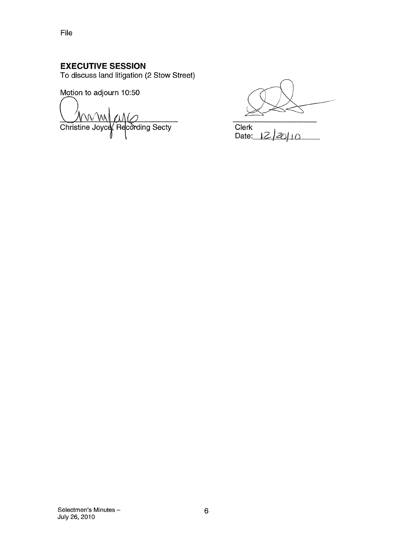# EXECUTIVE SESSION

To discuss land litigation (2 Stow Street)

Motion to adjourn 10:50

**Christine Joyce**, Recording Secty

 $Clerk$ <br>Date:  $12/20/10$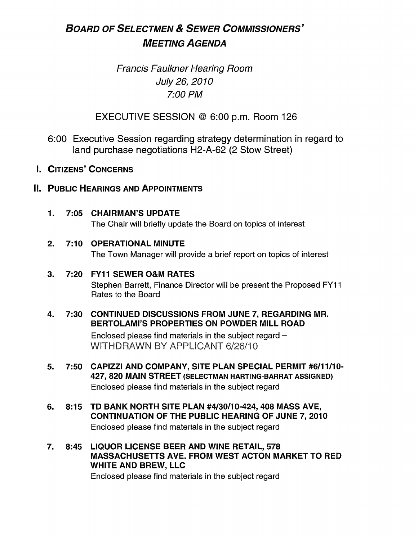# BOARD OF SELECTMEN & SEWER COMMISSIONERS' MEETING AGENDA

# Francis Faulkner Hearing Room July 26, 2010 7:00 PM

EXECUTIVE SESSION @ 6:00 p.m. Room 126

- 6:00 Executive Session regarding strategy determination in regard to land purchase negotiations H2-A-62 (2 Stow Street)
- I. CITIZENS' CONCERNS

# **II. PUBLIC HEARINGS AND APPOINTMENTS**

1. 7:05 CHAIRMAN'S UPDATE The Chair will briefly update the Board on topics of interest

# 2. 7:10 OPERATIONAL MINUTE

The Town Manager will provide a brief report on topics of interest

# 3. 7:20 FY11 SEWER O&M RATES

Stephen Barrett, Finance Director will be present the Proposed FY11 Rates to the Board

### 4. 7:30 CONTINUED DISCUSSIONS FROM JUNE 7, REGARDING MR. BERTOLAMI'S PROPERTIES ON POWDER MILL ROAD

Enclosed please find materials in the subject regard — WITHDRAWN BY APPLICANT 6/26/10

- 5. 7:50 CAPIZZI AND COMPANY, SITE PLAN SPECIAL PERMIT #6/11/10- 427, 820 MAIN STREET (SELECTMAN HARTING-BARRAT ASSIGNED) Enclosed please find materials in the subject regard
- 6. 8:15 TD BANK NORTH SITE PLAN #4/30/10-424, 408 MASS AVE, CONTINUATION OF THE PUBLIC HEARING OF JUNE 7, 2010 Enclosed please find materials in the subject regard
- 7. 8:45 LIQUOR LICENSE BEER AND WINE RETAIL, 578 MASSACHUSETTS AVE. FROM WEST ACTON MARKET TO RED WHITE AND BREW, LLC

Enclosed please find materials in the subject regard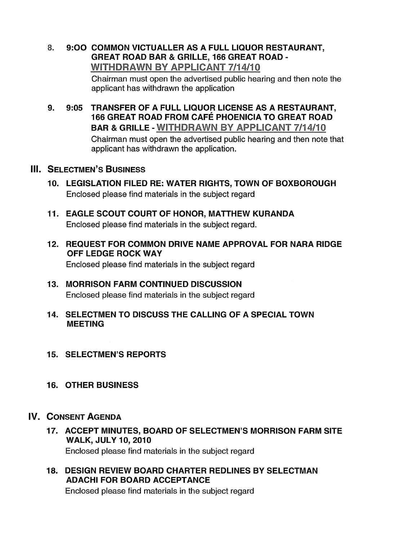### 8. 9:00 COMMON VICTUALLER AS <sup>A</sup> FULL LIQUOR RESTAURANT, GREAT ROAD BAR & GRILLE, 166 GREAT ROAD - WITHDRAWN BY APPLICANT 7/14/10

Chairman must open the advertised public hearing and then note the applicant has withdrawn the application

9. 9:05 TRANSFER OF A FULL LIQUOR LICENSE AS A RESTAURANT, 166 GREAT ROAD FROM CAFÉ PHOENICIA TO GREAT ROAD BAR & GRILLE - WITHDRAWN BY APPLICANT 7/14/10 Chairman must open the advertised public hearing and then note that applicant has withdrawn the application.

# **III. SELECTMEN'S BUSINESS**

- 10. LEGISLATION FILED RE: WATER RIGHTS, TOWN OF BOXBOROUGH Enclosed please find materials in the subject regard
- 11. EAGLE SCOUT COURT OF HONOR, MATTHEW KURANDA Enclosed please find materials in the subject regard.
- 12. REQUEST FOR COMMON DRIVE NAME APPROVAL FOR NARA RIDGE OFF LEDGE ROCK WAY Enclosed please find materials in the subject regard
- 13. MORRISON FARM CONTINUED DISCUSSION Enclosed please find materials in the subject regard
- 14. SELECTMEN TO DISCUSS THE CALLING OF A SPECIAL TOWN MEETING
- 15. SELECTMEN'S REPORTS
- 16. OTHER BUSINESS

# IV. CONSENT AGENDA

- 17. ACCEPT MINUTES, BOARD OF SELECTMEN'S MORRISON FARM SITE WALK, JULY 10, 2010 Enclosed please find materials in the subject regard
- 18. DESIGN REVIEW BOARD CHARTER REDLINES BY SELECTMAN ADACHI FOR BOARD ACCEPTANCE Enclosed please find materials in the subject regard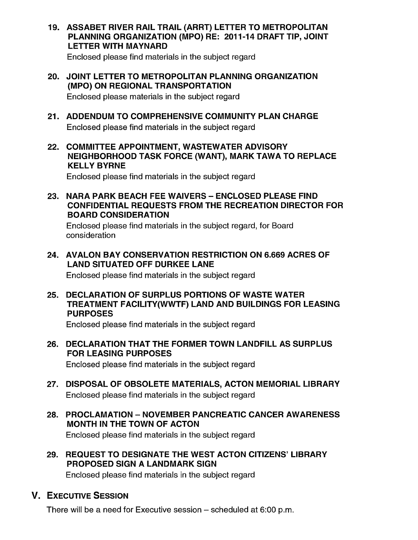19. ASSABET RIVER RAIL TRAIL (ARRT) LETTER TO METROPOLITAN PLANNING ORGANIZATION (MPO) RE: 2011-14 DRAFT TIP, JOINT LETTER WITH MAYNARD

Enclosed please find materials in the subject regard

- 20. JOINT LETTER TO METROPOLITAN PLANNING ORGANIZATION (MPO) ON REGIONAL TRANSPORTATION Enclosed please materials in the subject regard
- 21. ADDENDUM TO COMPREHENSIVE COMMUNITY PLAN CHARGE Enclosed please find materials in the subject regard
- 22. COMMITTEE APPOINTMENT, WASTEWATER ADVISORY NEIGHBORHOOD TASK FORCE (WANT), MARK TAWA TO REPLACE KELLY BYRNE

Enclosed please find materials in the subject regard

23. NARA PARK BEACH FEE WAIVERS - ENCLOSED PLEASE FIND CONFIDENTIAL REQUESTS FROM THE RECREATION DIRECTOR FOR BOARD CONSIDERATION

Enclosed please find materials in the subject regard, for Board consideration

24. AVALON BAY CONSERVATION RESTRICTION ON 6.669 ACRES OF LAND SITUATED OFF DURKEE LANE

Enclosed please find materials in the subject regard

25. DECLARATION OF SURPLUS PORTIONS OF WASTE WATER TREATMENT FACILITY(WWTF) LAND AND BUILDINGS FOR LEASING PURPOSES

Enclosed please find materials in the subject regard

26. DECLARATION THAT THE FORMER TOWN LANDFILL AS SURPLUS FOR LEASING PURPOSES

Enclosed please find materials in the subject regard

- 27. DISPOSAL OF OBSOLETE MATERIALS, ACTON MEMORIAL LIBRARY Enclosed please find materials in the subject regard
- 28. PROCLAMATION NOVEMBER PANCREATIC CANCER AWARENESS MONTH IN THE TOWN OF ACTON Enclosed please find materials in the subject regard
- 29. REQUEST TO DESIGNATE THE WEST ACTON CITIZENS' LIBRARY PROPOSED SIGN A LANDMARK SIGN

Enclosed please find materials in the subject regard

# V. EXECUTIVE SESSION

There will be a need for Executive session — scheduled at 6:00 p.m.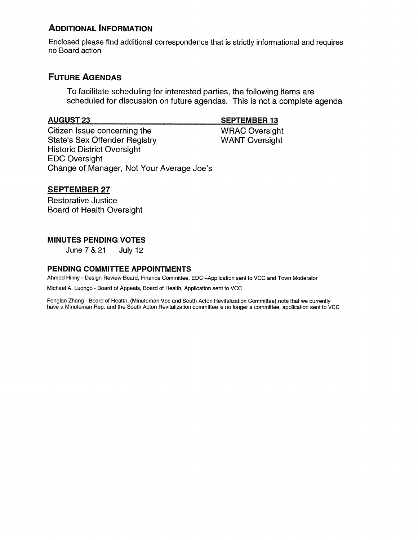# ADDITIONAL INFORMATION

Enclosed please find additional correspondence that is strictly informational and requires no Board action

# FUTURE AGENDAS

To facilitate scheduling for interested parties, the following items are scheduled for discussion on future agendas. This is not a complete agenda

Citizen Issue concerning the WRAC Oversight<br>
State's Sex Offender Registry<br>
WANT Oversight State's Sex Offender Registry Historic District Oversight EDC Oversight Change of Manager, Not Your Average Joe's

#### SEPTEMBER 27

Restorative Justice Board of Health Oversight

#### MINUTES PENDING VOTES

June7&21 July12

#### PENDING COMMITTEE APPOINTMENTS

Ahmed Hilmy - Design Review Board, Finance Committee, EDC —Application sent to VCC and Town Moderator

Michael A. Luongo - Board of Appeals, Board of Health, Application sent to VCC

Fenglan Zhang - Board of Health, (Minuteman Voc and South Acton Revitalization Committee) note that we currently have a Minuteman Rep. and the South Acton Revitalization committee is no longer a committee, application sent to VCC

#### AUGUST 23 SEPTEMBER 13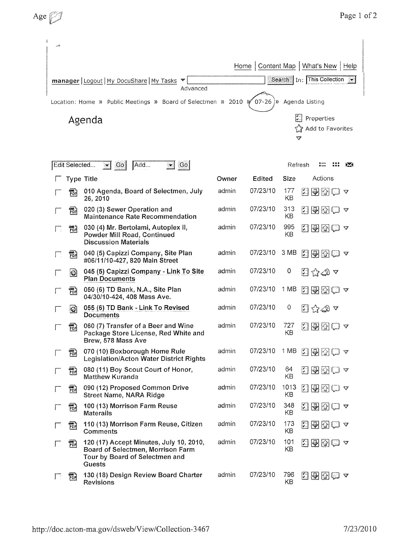| الخصر                                                                             |                                                                                                     |
|-----------------------------------------------------------------------------------|-----------------------------------------------------------------------------------------------------|
| Home $ $                                                                          | Content Map   What's New  <br>Help                                                                  |
| manager   Logout   My DocuShare   My Tasks ▼<br>Advanced                          | Search   In: This Collection<br>X                                                                   |
| Location: Home » Public Meetings » Board of Selectmen » 2010 $\sqrt[3]{}$ 07-26 ) | Agenda Listing                                                                                      |
| Agenda                                                                            | $\left  \frac{\mathbf{x}^{(n)}}{\mathbf{x}^{(n)}} \right $ Properties<br>Strade data Favorites<br>v |

|              |               |                                                                                                                          |       |          |            | v            |                                                                           |                 |
|--------------|---------------|--------------------------------------------------------------------------------------------------------------------------|-------|----------|------------|--------------|---------------------------------------------------------------------------|-----------------|
|              | Edit Selected | Add<br> Go <br>Go<br>☜<br><u>ات</u>                                                                                      |       |          |            | Refresh      |                                                                           | <b>PASS</b>     |
|              |               | <b>Type Title</b>                                                                                                        | Owner | Edited   | Size       |              | Actions                                                                   |                 |
|              | 品             | 010 Agenda, Board of Selectmen, July<br>26, 2010                                                                         | admin | 07/23/10 | 177<br>KВ  |              | 지원한다                                                                      | $\triangledown$ |
|              | ଲ             | 020 (3) Sewer Operation and<br><b>Maintenance Rate Recommendation</b>                                                    | admin | 07/23/10 | 313<br>KВ  |              | 지휘전후                                                                      | ☜               |
|              | FDH<br>FDH    | 030 (4) Mr. Bertolami, Autoplex II,<br>Powder Mill Road, Continued<br><b>Discussion Materials</b>                        | admin | 07/23/10 | 995<br>KB  |              | Z 4 3 8 ~                                                                 |                 |
|              | 罸             | 040 (5) Capizzi Company, Site Plan<br>#06/11/10-427, 820 Main Street                                                     | admin | 07/23/10 | 3 MB       |              | 西图图画 ~                                                                    |                 |
|              | $ O\rangle$   | 045 (5) Capizzi Company - Link To Site<br><b>Plan Documents</b>                                                          | admin | 07/23/10 | 0          |              | ඩු රු∠ා ∝                                                                 |                 |
|              | 謌             | 050 (6) TD Bank, N.A., Site Plan<br>04/30/10-424, 408 Mass Ave.                                                          | admin | 07/23/10 | 1 MB       | $\mathbb{F}$ | खि⊡ य                                                                     |                 |
|              | Q             | 055 (6) TD Bank - Link To Revised<br><b>Documents</b>                                                                    | admin | 07/23/10 | 0          |              | 国会の々                                                                      |                 |
|              | 禢             | 060 (7) Transfer of a Beer and Wine<br>Package Store License, Red White and<br>Brew, 578 Mass Ave                        | admin | 07/23/10 | 727<br>KΒ  |              | 2000 a                                                                    |                 |
|              | 昻             | 070 (10) Boxborough Home Rule<br>Legislation/Acton Water District Rights                                                 | admin | 07/23/10 | 1 MB       |              | 西國国口ャ                                                                     |                 |
|              | 鬲             | 080 (11) Boy Scout Court of Honor,<br><b>Matthew Kuranda</b>                                                             | admin | 07/23/10 | 64<br>KΒ   |              | 지위장하                                                                      |                 |
|              | 冠             | 090 (12) Proposed Common Drive<br><b>Street Name, NARA Ridge</b>                                                         | admín | 07/23/10 | 1013<br>KВ |              | 日の図にっ                                                                     |                 |
|              | 訊             | 100 (13) Morrison Farm Reuse<br>Materails                                                                                | admin | 07/23/10 | 348<br>ΚB  |              | この図□々                                                                     |                 |
|              | 謌             | 110 (13) Morrison Farm Reuse, Citizen<br>Comments                                                                        | admin | 07/23/10 | 173<br>KB  | 闛            | $\begin{array}{c}\n\boxed{\mathbf{2}}\n\boxed{2}\n\boxed{1}\n\end{array}$ |                 |
| $\mathbf{1}$ | 謌             | 120 (17) Accept Minutes, July 10, 2010,<br>Board of Selectmen, Morrison Farm<br>Tour by Board of Selectmen and<br>Guests | admin | 07/23/10 | 101<br>KB  |              | 图图图D v                                                                    |                 |
|              | 岇             | 130 (18) Design Review Board Charter<br><b>Revisions</b>                                                                 | admin | 07/23/10 | 796<br>KB  |              | 지중전후                                                                      | $\triangledown$ |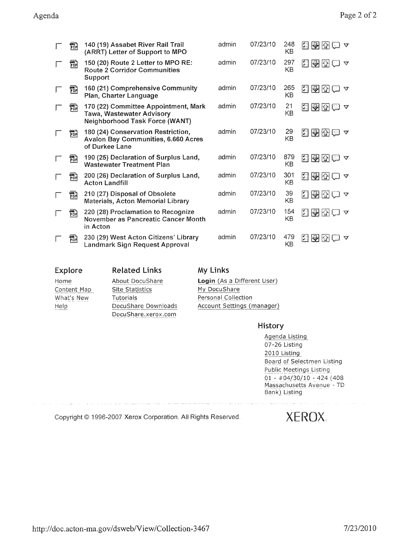| 嗣          | 140 (19) Assabet River Rail Trail<br>(ARRT) Letter of Support to MPO                                | admin | 07/23/10 | 248<br>KВ | 회원업<br>v                                                                          |
|------------|-----------------------------------------------------------------------------------------------------|-------|----------|-----------|-----------------------------------------------------------------------------------|
| run<br>PDF | 150 (20) Route 2 Letter to MPO RE:<br><b>Route 2 Corridor Communities</b><br>Support                | admin | 07/23/10 | 297<br>KB | 비행한<br>জ                                                                          |
| ምሳ<br>የDF  | 160 (21) Comprehensive Community<br>Plan, Charter Language                                          | admin | 07/23/10 | 265<br>KB | 鬬<br>$\bigcirc$<br>$ \mathcal{O} $<br>$\nabla^2$                                  |
| FOR        | 170 (22) Committee Appointment, Mark<br>Tawa, Wastewater Advisory<br>Neighborhood Task Force (WANT) | admin | 07/23/10 | 21<br>KΒ  | $\left  \begin{smallmatrix} 0 & 0 \\ 0 & 0 \end{smallmatrix} \right $<br>90E<br>▽ |
| 靜          | 180 (24) Conservation Restriction,<br><b>Avalon Bay Communities, 6.660 Acres</b><br>of Durkee Lane  | admin | 07/23/10 | 29<br>KB  | 石山の<br>$\triangledown$<br>18.6                                                    |
| ᇒ          | 190 (25) Declaration of Surplus Land,<br><b>Wastewater Treatment Plan</b>                           | admin | 07/23/10 | 879<br>KB | $\mathbb{H}$<br>$\bigcirc$ $\bigcirc$ $\bigcirc$                                  |
| 쨰          | 200 (26) Declaration of Surplus Land,<br><b>Acton Landfill</b>                                      | admin | 07/23/10 | 301<br>KB | 회의원이<br>ూ                                                                         |
| FDR.       | 210 (27) Disposal of Obsolete<br><b>Materials, Acton Memorial Library</b>                           | admin | 07/23/10 | 39<br>KB  | 鬬<br> 원조(<br>$\mathcal{L}$                                                        |
| 뺴          | 220 (28) Proclamation to Recognize<br>November as Pancreatic Cancer Month<br>in Acton               | admin | 07/23/10 | 154<br>KB | 지위장(<br>$\triangledown$                                                           |
| 郬          | 230 (29) West Acton Citizens' Library<br>Landmark Sign Request Approval                             | admin | 07/23/10 | 479<br>KB | H.<br>₩                                                                           |

| <b>Explore</b> | <b>Related Links</b>   | My Links                    |
|----------------|------------------------|-----------------------------|
| Home           | About DocuShare        | Login (As a Different User) |
| Content Map    | <b>Site Statistics</b> | My DocuShare                |
| What's New     | Tutorials              | Personal Collection         |
| Help           | DocuShare Downloads    | Account Settings (manager)  |
|                | DocuShare.xerox.com    |                             |
|                |                        | History                     |

Agenda Listing 07-26 Listing 2010 Listing Board of Selectmen Listing Public Meetings Listing 01 - #04/30/10- 424 (408 Massachusetts Avenue - TD Bank) Listing

Copyright © 1996-2007 Xerox Corporation. All Rights Reserved.  $XEROX_{\cdot}$ 

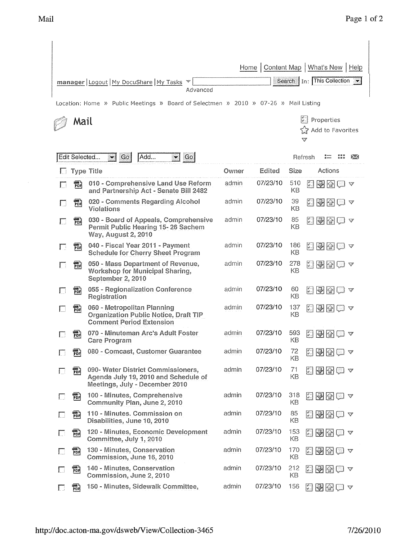$\sim 10$ 

|              |                                                        |                                                                                                                | Home  | Content Map   What's New   Help |                  |                                                                        |                                                |       |                              |
|--------------|--------------------------------------------------------|----------------------------------------------------------------------------------------------------------------|-------|---------------------------------|------------------|------------------------------------------------------------------------|------------------------------------------------|-------|------------------------------|
|              | manager   Logout   My DocuShare   My Tasks<br>Advanced |                                                                                                                |       |                                 |                  |                                                                        |                                                |       | Search   In: This Collection |
|              |                                                        | Location: Home » Public Meetings » Board of Selectmen » 2010 » 07-26 » Mail Listing                            |       |                                 |                  |                                                                        |                                                |       |                              |
| Mail         |                                                        |                                                                                                                |       |                                 |                  | ুী Add to Favorites<br>v                                               | Properties                                     |       |                              |
|              | Edit Selected                                          | Go<br>Add<br>Go<br>$\sim$ $\mid$                                                                               |       |                                 |                  | Refresh                                                                |                                                |       | 5.54                         |
|              |                                                        | <b>Type Title</b>                                                                                              | Owner | Edited                          | Size             |                                                                        | Actions                                        |       |                              |
| $\mathbf{I}$ | 鹮                                                      | 010 - Comprehensive Land Use Reform<br>and Partnership Act - Senate Bill 2482                                  | admin | 07/23/10                        | 510<br><b>KB</b> | $\begin{bmatrix} \mathbf{z} \\ \mathbf{z} \end{bmatrix}$               | $\bigtriangledown$ $\bigcirc$ $\bigcirc$       |       |                              |
|              | 需                                                      | 020 - Comments Regarding Alcohol<br>Violations                                                                 | admin | 07/23/10                        | 39<br>KB         | K.                                                                     | 모조                                             | 181 V |                              |
|              | 翤                                                      | 030 - Board of Appeals, Comprehensive<br>Permit Public Hearing 15-26 Sachem<br><b>Way, August 2, 2010</b>      | admin | 07/23/10                        | 85<br>KB         | 圖                                                                      | $\Box$                                         |       | $\triangledown$              |
| $\mathbf{1}$ | 霛                                                      | 040 - Fiscal Year 2011 - Payment<br><b>Schedule for Cherry Sheet Program</b>                                   | admin | 07/23/10                        | 186<br>KB        |                                                                        | 이 어렵                                           |       |                              |
| $\mathbf{I}$ | rof<br>Pof                                             | 050 - Mass Department of Revenue,<br>Workshop for Municipal Sharing,<br>September 2, 2010                      | admin | 07/23/10                        | 278<br>KВ        |                                                                        | 지원전후                                           |       |                              |
| L            | 羁                                                      | 055 - Regionalization Conference<br>Registration                                                               | admin | 07/23/10                        | 60<br>KB         | $\left  \begin{smallmatrix} \varphi & \cdot \end{smallmatrix} \right $ | P 2                                            |       | -77                          |
|              | 冊                                                      | 060 - Metropolitan Planning<br><b>Organization Public Notice, Draft TIP</b><br><b>Comment Period Extension</b> | admin | 07/23/10                        | 137<br>KB        | F.                                                                     | ■图□◇                                           |       |                              |
|              | መሳ<br>PDF                                              | 070 - Minuteman Arc's Adult Foster<br><b>Care Program</b>                                                      | admin | 07/23/10                        | 593<br>KB        | I.                                                                     |                                                |       |                              |
|              | 翤                                                      | 080 - Comcast, Customer Guarantee                                                                              | admin | 07/23/10                        | 72<br>KB         | I.                                                                     |                                                |       |                              |
| Е.           | 翤                                                      | 090- Water District Commissioners,<br>Agenda July 19, 2010 and Schedule of<br>Meetings, July - December 2010   | admin | 07/23/10                        | 71<br>KB         |                                                                        | <u>지역전</u> 으 ~                                 |       |                              |
| U            | ess »<br>PDF                                           | 100 - Minutes, Comprehensive<br>Community Plan, June 2, 2010                                                   | admin | 07/23/10                        | 318<br>ΚB        | 鬬                                                                      | $\triangleright$ $\triangleright$              | ≍! V  |                              |
|              | PDF                                                    | 110 - Minutes, Commission on<br>Disabilities, June 10, 2010                                                    | admin | 07/23/10                        | 85<br>KB         | 899                                                                    |                                                |       | - 97                         |
| $\Box$       | 翤                                                      | 120 - Minutes, Economic Development<br>Committee, July 1, 2010                                                 | admin | 07/23/10                        | 153<br>KB        | H                                                                      | $ \mathcal{D} $                                |       |                              |
| $\downarrow$ | 翤                                                      | 130 - Minutes, Conservation<br>Commission, June 16, 2010                                                       | admin | 07/23/10                        | 170<br>KB        |                                                                        | $\ket{\blacktriangleleft} \textcircled{c}$ and |       |                              |
|              | PDF                                                    | 140 - Minutes, Conservation<br>Commission, June 2, 2010                                                        | admin | 07/23/10                        | 212<br>KВ        |                                                                        | $\triangledown$                                |       | V                            |
| L            | 罰                                                      | 150 - Minutes, Sidewalk Committee,                                                                             | admin | 07/23/10                        | 156              | <u> 196</u>                                                            |                                                |       | v                            |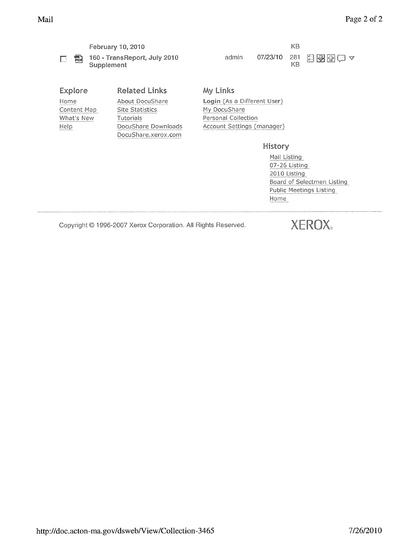

| Explore     |
|-------------|
| Home        |
| Content Mar |
| What's New  |
| Help        |
|             |

Related Links My Links p Site Statistics My DocuShare Tutorials **New York Tutorials** Personal Collection DocuShare.xerox.com

February 10, 2010 **KB** 160 - TransReport, July 2010 admin 07/23/10 281

国國國民マ

About DocuShare Login (As a Different User) DocuShare Downloads Account Settings (manager)

History

Mail Listing 07-26 Listing 2010 Listing Board of Selectmen Listing<br>Public Meetings Listing Home

Copyright © 1996-2007 Xerox Corporation. All Rights Reserved.

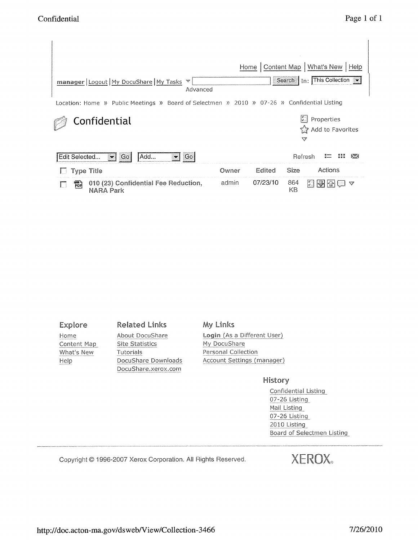| manager   Logout   My DocuShare   My Tasks<br>ngge<br>Advanced                              |       | Home     |           | Content Map   What's New   Help<br>Search   In: This Collection |
|---------------------------------------------------------------------------------------------|-------|----------|-----------|-----------------------------------------------------------------|
| Location: Home » Public Meetings » Board of Selectmen » 2010 » 07-26 » Confidential Listing |       |          |           |                                                                 |
| Confidential                                                                                |       |          | v         | <b>M</b> Properties<br>ারী Add to Favorites                     |
| Add<br>Edit Selected<br>Go.<br>Go.                                                          |       |          | Refresh   |                                                                 |
| <b>Type Title</b>                                                                           | Owner | Edited   | Size      | Actions                                                         |
| 010 (23) Confidential Fee Reduction,<br>罰<br><b>NARA Park</b>                               | admin | 07/23/10 | 864<br>KВ | $\Box$                                                          |

Content Map

Explore Related Links My Links i1c !Y 9cfLH:f What's New Tutorials **Personal Collection** DocuShare.xerox.com

Home About DocuShare Login (As a Different User) Help DocuShare Downloads Account Settings (manager)

#### History

**Confidential Listing** 07-26 Listing Mail Listing 07-26 Listing 2010 Listing **Board of Selectmen Listing** 

Copyright © 1996-2007 Xerox Corporation. All Rights Reserved.  $XEROX_{\circ}$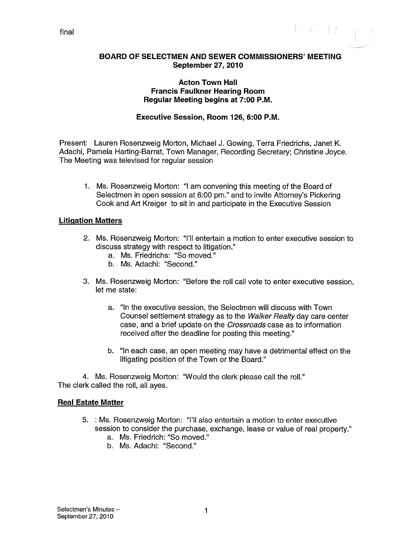$\label{eq:2.1} \left\{ \begin{array}{ll} \displaystyle \frac{1}{\sqrt{2}} \left( \frac{1}{\sqrt{2}} \right)^{1/2} \left( \frac{1}{\sqrt{2}} \right)^{1/2} \left( \frac{1}{\sqrt{2}} \right)^{1/2} \left( \frac{1}{\sqrt{2}} \right)^{1/2} \left( \frac{1}{\sqrt{2}} \right)^{1/2} \left( \frac{1}{\sqrt{2}} \right)^{1/2} \left( \frac{1}{\sqrt{2}} \right)^{1/2} \left( \frac{1}{\sqrt{2}} \right)^{1/2} \left( \frac{1}{\sqrt{2}} \right)^{1/$ 

#### BOARD OF SELECTMEN AND SEWER COMMISSIONERS' MEETING September 27, 2010

#### Acton Town Hall Francis Faulkner Hearing Room Regular Meeting begins at 7:00 P.M.

#### Executive Session, Room 126, 6:00 P.M.

Present: Lauren Rosenzweig Morton, Michael J. Gowing, Terra Friedrichs, Janet K. Adachi, Pamela Harting-Barrat, Town Manager, Recording Secretary; Christine Joyce. The Meeting was televised for regular session

1. Ms. Rosenzweig Morton: "I am convening this meeting of the Board of Selectmen in open session at 6:00 pm." and to invite Attorney's Pickering Cook and Art Kreiger to sit in and participate in the Executive Session

#### Litigation Matters

- 2. Ms. Rosenzweig Morton: "I'll entertain a motion to enter executive session to discuss strategy with respect to litigation."
	- a. Ms. Friedrichs: "So moved."
	- b. Ms. Adachi: "Second."
- 3. Ms. Rosenzweig Morton: "Before the roll call vote to enter executive session, let me state:
	- a. "In the executive session, the Selectmen will discuss with Town Counsel settlement strategy as to the Walker Realty day care center case, and a brief update on the Crossroads case as to information received after the deadline for posting this meeting."
	- b. "In each case, an open meeting may have a detrimental effect on the litigating position of the Town or the Board."

4. Ms. Rosenzweig Morton: "Would the clerk please call the roll." The clerk called the roll, all ayes.

#### Real Estate Matter

- 5. : Ms. Rosenzweig Morton: "I'll also entertain a motion to enter executive session to consider the purchase, exchange, lease or value of real property."
	- a. Ms. Friedrich: "So moved."
	- b. Ms. Adachi: "Second."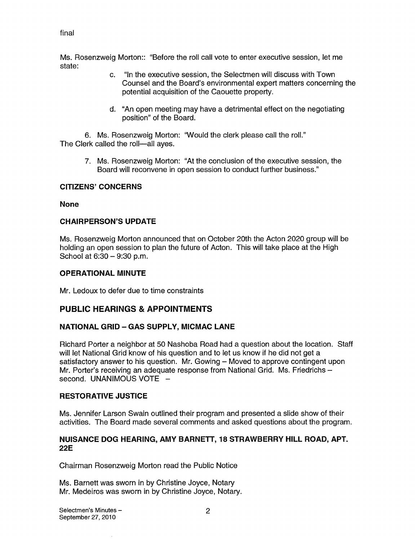#### final

Ms. Rosenzweig Morton:: "Before the roll call vote to enter executive session, let me state:

- c. "In the executive session, the Selectmen will discuss with Town Counsel and the Board's environmental expert matters concerning the potential acquisition of the Caouette property.
- d. "An open meeting may have a detrimental effect on the negotiating position" of the Board.

6. Ms. Rosenzweig Morton: "Would the clerk please call the roll." The Clerk called the roll—all ayes.

> 7. Ms. Rosenzweig Morton: "At the conclusion of the executive session, the Board will reconvene in open session to conduct further business."

#### CITIZENS' CONCERNS

#### None

#### CHAIRPERSON'S UPDATE

Ms. Rosenzweig Morton announced that on October 20th the Acton 2020 group will be holding an open session to plan the future of Acton. This will take place at the High School at 6:30 — 9:30 p.m.

#### OPERATIONAL MINUTE

Mr. Ledoux to defer due to time constraints

### PUBLIC HEARINGS & APPOINTMENTS

#### NATIONAL GRID — GAS SUPPLY, MICMAC LANE

Richard Porter a neighbor at 50 Nashoba Road had a question about the location. Staff will let National Grid know of his question and to let us know if he did not get a satisfactory answer to his question. Mr. Gowing — Moved to approve contingent upon Mr. Porter's receiving an adequate response from National Grid. Ms. Friedrichs second. UNANIMOUS VOTE -

#### RESTORATIVE JUSTICE

Ms. Jennifer Larson Swain outlined their program and presented a slide show of their activities. The Board made several comments and asked questions about the program.

#### NUISANCE DOG HEARING, AMY BARNETT, 18 STRAWBERRY HILL ROAD, APT. 22E

Chairman Rosenzweig Morton read the Public Notice

Ms. Barnett was sworn in by Christine Joyce, Notary Mr. Medeiros was sworn in by Christine Joyce, Notary.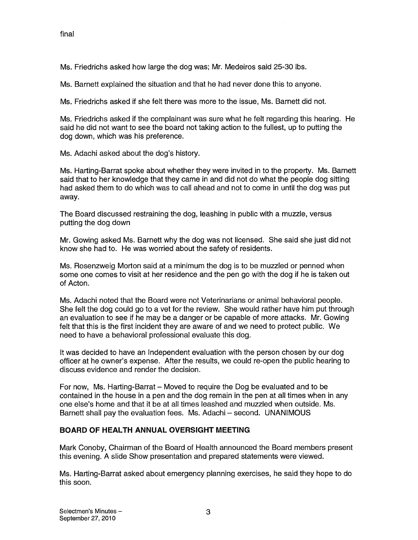Ms. Friedrichs asked how large the dog was; Mr. Medeiros said 25-30 lbs.

Ms. Barnett explained the situation and that he had never done this to anyone.

Ms. Friedrichs asked if she felt there was more to the issue, Ms. Barnett did not.

Ms. Friedrichs asked if the complainant was sure what he felt regarding this hearing. He said he did not want to see the board not taking action to the fullest, up to putting the dog down, which was his preference.

Ms. Adachi asked about the dog's history.

Ms. Harting-Barrat spoke about whether they were invited in to the property. Ms. Barnett said that to her knowledge that they came in and did not do what the people dog sitting had asked them to do which was to call ahead and not to come in until the dog was put away.

The Board discussed restraining the dog, leashing in public with a muzzle, versus putting the dog down

Mr. Gowing asked Ms. Barnett why the dog was not licensed. She said she just did not know she had to. He was worried about the safety of residents.

Ms. Rosenzweig Morton said at a minimum the dog is to be muzzled or penned when some one comes to visit at her residence and the pen go with the dog it he is taken out of Acton.

Ms. Adachi noted that the Board were not Veterinarians or animal behavioral people. She felt the dog could go to a vet for the review. She would rather have him put through an evaluation to see if he may be a danger or be capable of more attacks. Mr. Gowing felt that this is the first incident they are aware of and we need to protect public. We need to have a behavioral professional evaluate this dog.

It was decided to have an Independent evaluation with the person chosen by our dog officer at he owner's expense. After the results, we could re-open the public hearing to discuss evidence and render the decision.

For now, Ms. Harting-Barrat — Moved to require the Dog be evaluated and to be contained in the house in a pen and the dog remain in the pen at all times when in any one else's home and that it be at all times leashed and muzzled when outside. Ms. Barnett shall pay the evaluation fees. Ms. Adachi — second. UNANIMOUS

### BOARD OF HEALTH ANNUAL OVERSIGHT MEETING

Mark Conoby, Chairman of the Board of Health announced the Board members present this evening. A slide Show presentation and prepared statements were viewed.

Ms. Harting-Barrat asked about emergency planning exercises, he said they hope to do this soon.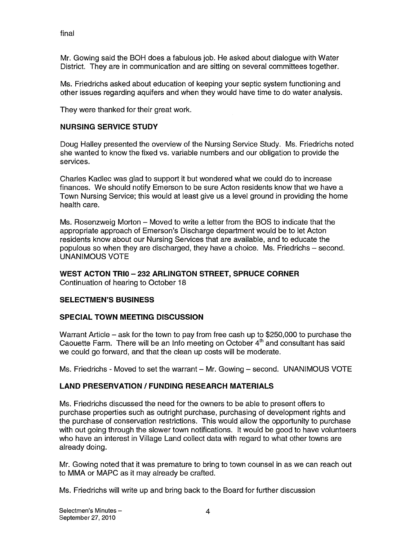final

Mr. Gowing said the BOH does a fabulous job. He asked about dialogue with Water District. They are in communication and are sitting on several committees together.

Ms. Friedrichs asked about education of keeping your septic system functioning and other issues regarding aquifers and when they would have time to do water analysis.

They were thanked for their great work.

#### NURSING SERVICE STUDY

Doug Halley presented the overview of the Nursing Service Study. Ms. Friedrichs noted she wanted to know the fixed vs. variable numbers and our obligation to provide the services.

Charles Kadlec was glad to support it but wondered what we could do to increase finances. We should notify Emerson to be sure Acton residents know that we have a Town Nursing Service; this would at least give us a level ground in providing the home health care.

Ms. Rosenzweig Morton — Moved to write a letter from the BOS to indicate that the appropriate approach of Emerson's Discharge department would be to let Acton residents know about our Nursing Services that are available, and to educate the populous so when they are discharged, they have a choice. Ms. Friedrichs — second. UNANIMOUS VOTE

### WEST ACTON TRIO — 232 ARLINGTON STREET, SPRUCE CORNER

Continuation of hearing to October 18

### SELECTMEN'S BUSINESS

#### SPECIAL TOWN MEETING DISCUSSION

Warrant Article — ask for the town to pay from free cash up to \$250,000 to purchase the Caouette Farm. There will be an Info meeting on October  $4<sup>th</sup>$  and consultant has said we could go forward, and that the clean up costs will be moderate.

Ms. Friedrichs - Moved to set the warrant — Mr. Gowing — second. UNANIMOUS VOTE

### LAND PRESERVATION / FUNDING RESEARCH MATERIALS

Ms. Friedrichs discussed the need for the owners to be able to present offers to purchase properties such as outright purchase, purchasing of development rights and the purchase of conservation restrictions. This would allow the opportunity to purchase with out going through the slower town notifications. It would be good to have volunteers who have an interest in Village Land collect data with regard to what other towns are already doing.

Mr. Gowing noted that it was premature to bring to town counsel in as we can reach out to MMA or MAPC as it may already be crafted.

Ms. Friedrichs will write up and bring back to the Board for further discussion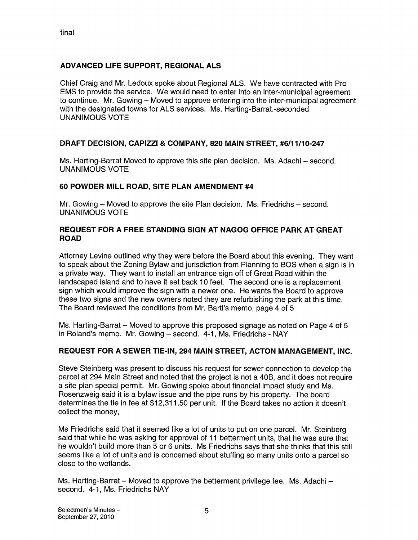# ADVANCED LIFE SUPPORT, REGIONAL ALS

Chief Craig and Mr. Ledoux spoke about Regional ALS. We have contracted with Pro EMS to provide the service. We would need to enter into an inter-municipal agreement to continue. Mr. Gowing — Moved to approve entering into the inter-municipal agreement with the designated towns for ALS services. Ms. Harting-Barrat.-seconded UNANIMOUS VOTE

### DRAFT DECISION, CAPIZZI & COMPANY, 820 MAIN STREET, #6/11/10-247

Ms. Harting-Barrat Moved to approve this site plan decision. Ms. Adachi — second. UNANIMOUS VOTE

### 60 POWDER MILL ROAD, SITE PLAN AMENDMENT #4

Mr. Gowing — Moved to approve the site Plan decision. Ms. Friedrichs — second. UNANIMOUS VOTE

#### REQUEST FOR A FREE STANDING SIGN AT NAGOG OFFICE PARK AT GREAT ROAD

Attorney Levine outlined why they were before the Board about this evening. They want to speak about the Zoning Bylaw and jurisdiction from Planning to BOS when a sign is in a private way. They want to install an entrance sign off of Great Road within the landscaped island and to have it set back 10 feet. The second one is a replacement sign which would improve the sign with a newer one. He wants the Board to approve these two signs and the new owners noted they are refurbishing the park at this time. The Board reviewed the conditions from Mr. Barti's memo, page 4 of 5

Ms. Harting-Barrat — Moved to approve this proposed signage as noted on Page 4 of 5 in Roland's memo. Mr. Gowing — second. 4-1, Ms. Friedrichs - NAY

### REQUEST FOR A SEWER TIE-IN, 294 MAIN STREET, ACTON MANAGEMENT, INC.

Steve Steinberg was present to discuss his request for sewer connection to develop the parcel at 294 Main Street and noted that the project is not a 40B, and it does not require a site plan special permit. Mr. Gowing spoke about financial impact study and Ms. Rosenzweig said it is a bylaw issue and the pipe runs by his property. The board determines the tie in fee at \$12,311 .50 per unit. If the Board takes no action it doesn't collect the money,

Ms Friedrichs said that it seemed like a lot of units to put on one parcel. Mr. Steinberg said that while he was asking for approval of <sup>11</sup> betterment units, that he was sure that he wouldn't build more than 5 or 6 units. Ms Friedrichs says that she thinks that this still seems like a lot of units and is concerned about stuffing so many units onto a parcel so close to the wetlands.

Ms. Harting-Barrat — Moved to approve the betterment privilege fee. Ms. Adachi second. 4-1, Ms. Friedrichs NAY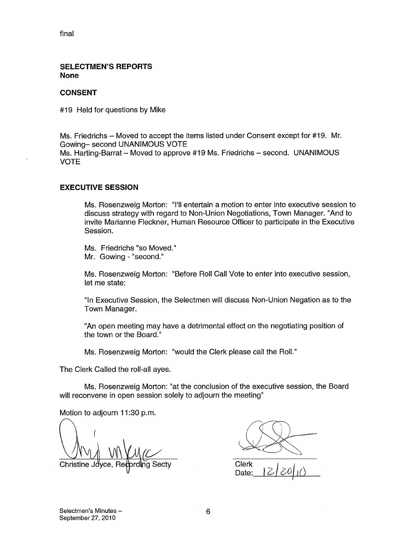final

#### SELECTMEN'S REPORTS None

#### CONSENT

#19 Held for questions by Mike

Ms. Friedrichs — Moved to accept the items listed under Consent except for #19. Mr. Gowing— second UNANIMOUS VOTE Ms. Harting-Barrat — Moved to approve #19 Ms. Friedrichs — second. UNANIMOUS VOTE

#### EXECUTIVE SESSION

Ms. Rosenzweig Morton: "I'll entertain a motion to enter into executive session to discuss strategy with regard to Non-Union Negotiations, Town Manager. "And to invite Marianne Fleckner, Human Resource Officer to participate in the Executive Session.

Ms. Friedrichs "so Moved." Mr. Gowing - "second."

Ms. Rosenzweig Morton: "Before Roll Call Vote to enter into executive session, let me state:

"In Executive Session, the Selectmen will discuss Non-Union Negation as to the Town Manager.

"An open meeting may have a detrimental effect on the negotiating position of the town or the Board."

Ms. Rosenzweig Morton: "would the Clerk please call the Roll."

The Clerk Called the roll-all ayes.

Ms. Rosenzweig Morton: "at the conclusion of the executive session, the Board will reconvene in open session solely to adjourn the meeting"

Motion to adjourn 11:30 p.m.

Christine Joyce, Recording Secty Clerk

Date: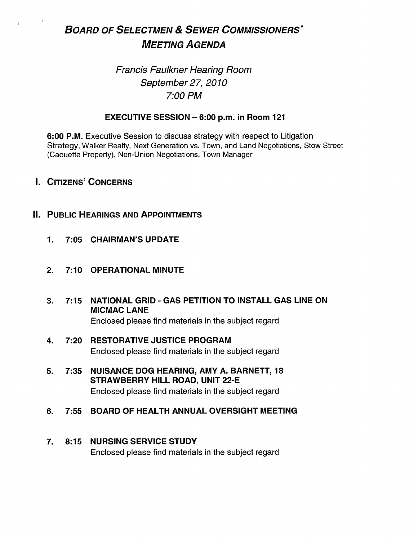# BOARD OF SELECTMEN & SEWER COMMISSIONERS' MEETING AGENDA

# Francis Faulkner Hearing Room September 27, 2010 7:00 PM

## EXECUTIVE SESSION — 6:00 p.m. in Room 121

6:00 P.M. Executive Session to discuss strategy with respect to Litigation Strategy, Walker Realty, Next Generation vs. Town, and Land Negotiations, Stow Street (Caouette Property), Non-Union Negotiations, Town Manager

- I. CITIZENS' CONCERNS
- **II. PUBLIC HEARINGS AND APPOINTMENTS** 
	- 1. 7:05 CHAIRMAN'S UPDATE
	- 2. 7:10 OPERATIONAL MINUTE
	- 3. 7:15 NATIONAL GRID GAS PETITION TO INSTALL GAS LINE ON MICMAC LANE Enclosed please find materials in the subject regard
	- 4. 7:20 RESTORATIVE JUSTICE PROGRAM Enclosed please find materials in the subject regard
	- 5. 7:35 NUISANCE DOG HEARING, AMY A. BARNETT, 18 STRAWBERRY HILL ROAD, UNIT 22-E Enclosed please find materials in the subject regard
	- 6. 7:55 BOARD OF HEALTH ANNUAL OVERSIGHT MEETING

# 7. 8:15 NURSING SERVICE STUDY Enclosed please find materials in the subject regard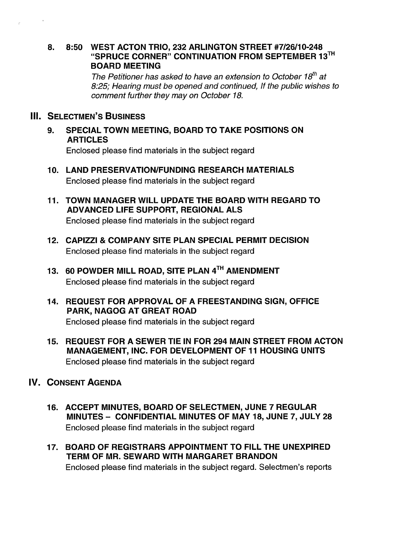#### 8. 8:50 WEST ACTON TRIO, 232 ARLINGTON STREET #7/26/10-248 "SPRUCE CORNER" CONTINUATION FROM SEPTEMBER 13TH BOARD MEETING

The Petitioner has asked to have an extension to October 18<sup>th</sup> at 8:25; Hearing must be opened and continued, If the public wishes to comment further they may on October 18.

# **III. SELECTMEN'S BUSINESS**

9. SPECIAL TOWN MEETING, BOARD TO TAKE POSITIONS ON ARTICLES

Enclosed please find materials in the subject regard

- 10. LAND PRESERVATION/FUNDING RESEARCH MATERIALS Enclosed please find materials in the subject regard
- 11. TOWN MANAGER WILL UPDATE THE BOARD WITH REGARD TO ADVANCED LIFE SUPPORT, REGIONAL ALS Enclosed please find materials in the subject regard
- 12. CAPIZZI & COMPANY SITE PLAN SPECIAL PERMIT DECISION Enclosed please find materials in the subject regard
- 13. 60 POWDER MILL ROAD, SITE PLAN 4TH AMENDMENT Enclosed please find materials in the subject regard
- 14. REQUEST FOR APPROVAL OF A FREESTANDING SIGN, OFFICE PARK, NAGOG AT GREAT ROAD Enclosed please find materials in the subject regard
- 15. REQUEST FOR A SEWER TIE IN FOR 294 MAIN STREET FROM ACTON MANAGEMENT, INC. FOR DEVELOPMENT OF 11 HOUSING UNITS Enclosed please find materials in the subject regard

# IV. CONSENT AGENDA

- 16. ACCEPT MINUTES, BOARD OF SELECTMEN, JUNE 7 REGULAR MINUTES — CONFIDENTIAL MINUTES OF MAY 18, JUNE 7, JULY 28 Enclosed please find materials in the subject regard
- 17. BOARD OF REGISTRARS APPOINTMENT TO FILL THE UNEXPIRED TERM OF MR. SEWARD WITH MARGARET BRANDON Enclosed please find materials in the subject regard. Selectmen's reports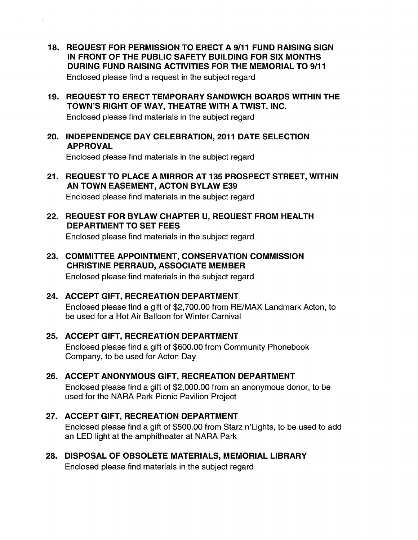- 18. REQUEST FOR PERMISSION TO ERECT A 9/11 FUND RAISING SIGN IN FRONT OF THE PUBLIC SAFETY BUILDING FOR SIX MONTHS DURING FUND RAISING ACTIVITIES FOR THE MEMORIAL TO 9/11 Enclosed please find a request in the subject regard
- 19. REQUEST TO ERECT TEMPORARY SANDWICH BOARDS WITHIN THE TOWN'S RIGHT OF WAY, THEATRE WITH A TWIST, INC.

Enclosed please find materials in the subject regard

 $\mathfrak{m}$ 

20. INDEPENDENCE DAY CELEBRATION, 2011 DATE SELECTION APPROVAL

Enclosed please find materials in the subject regard

- 21. REQUEST TO PLACE A MIRROR AT 135 PROSPECT STREET, WITHIN AN TOWN EASEMENT, ACTON BYLAW E39 Enclosed please find materials in the subject regard
- 22. REQUEST FOR BYLAW CHAPTER U, REQUEST FROM HEALTH DEPARTMENT TO SET FEES

Enclosed please find materials in the subject regard

- 23. COMMITTEE APPOINTMENT, CONSERVATION COMMISSION CHRISTINE PERRAUD, ASSOCIATE MEMBER Enclosed please find materials in the subject regard
- 24. ACCEPT GIFT, RECREATION DEPARTMENT Enclosed please find a gift of \$2,700.00 from RE/MAX Landmark Acton, to be used for a Hot Air Balloon for Winter Carnival
- 25. ACCEPT GIFT, RECREATION DEPARTMENT Enclosed please find a gift of \$600.00 from Community Phonebook Company, to be used for Acton Day
- 26. ACCEPT ANONYMOUS GIFT, RECREATION DEPARTMENT Enclosed please find a gift of \$2,000.00 from an anonymous donor, to be used for the NARA Park Picnic Pavilion Project
- 27. ACCEPT GIFT, RECREATION DEPARTMENT Enclosed please find a gift of \$500.00 from Starz n'Lights, to be used to add an LED light at the amphitheater at NARA Park
- 28. DISPOSAL OF OBSOLETE MATERIALS, MEMORIAL LIBRARY Enclosed please find materials in the subject regard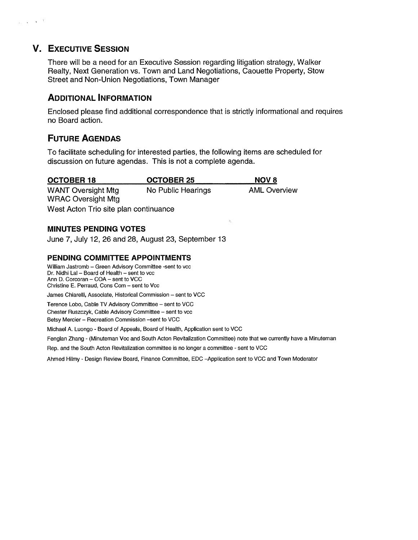# V. EXECUTIVE SESSION

 $\frac{1}{2} \frac{1}{2} \left( \frac{1}{2} \right) \frac{1}{2} \left( \frac{1}{2} \right) \left( \frac{1}{2} \right) \left( \frac{1}{2} \right)$ 

There will be a need for an Executive Session regarding litigation strategy, Walker Realty, Next Generation vs. Town and Land Negotiations, Caouette Property, Stow Street and Non-Union Negotiations, Town Manager

# ADDITIONAL INFORMATION

Enclosed please find additional correspondence that is strictly informational and requires no Board action.

 $\hat{Q}$ 

# FUTURE AGENDAS

To facilitate scheduling for interested parties, the following items are scheduled for discussion on future agendas. This is not a complete agenda.

| <b>OCTOBER 18</b>                     | OCTOBER 25         | <b>NOV 8</b>        |
|---------------------------------------|--------------------|---------------------|
| <b>WANT Oversight Mtg</b>             | No Public Hearings | <b>AML Overview</b> |
| <b>WRAC Oversight Mtg</b>             |                    |                     |
| West Acton Trio site plan continuance |                    |                     |

#### MINUTES PENDING VOTES

June 7, July 12, 26 and 28, August 23, September 13

#### PENDING COMMITTEE APPOINTMENTS

William Jastromb — Green Advisory Committee -sent to vcc Dr. Nidhi Lal — Board of Health — sent to vcc Ann D. Corcoran — COA — sent to VCC Christine E. Perraud, Cons Com — sent to Vcc

James Chiarelli, Associate, Historical Commission — sent to VCC

Terence Lobo, Cable TV Advisory Committee — sent to VCC

Chester Ruszczyk, Cable Advisory Committee — sent to vcc

Betsy Mercier — Recreation Commission —sent to VCC

Michael A. Luongo -Board of Appeals, Board of Health, Application sent to VCC

Fenglan Zhang - (Minuteman Voc and South Acton Revitalization Committee) note that we currently have a Minuteman

Rep. and the South Acton Revitalization committee is no longer a committee - sent to VCC

Ahmed Hilmy - Design Review Board, Finance Committee, EDC —Application sent to VCC and Town Moderator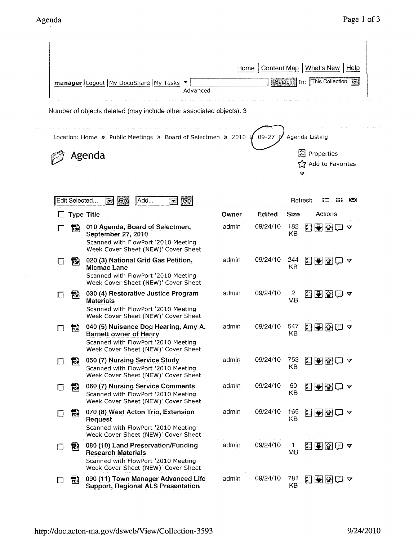|        |               |                                                                                                                                                     |          |       |           |                | Home   Content Map   What's New   Help   |   |
|--------|---------------|-----------------------------------------------------------------------------------------------------------------------------------------------------|----------|-------|-----------|----------------|------------------------------------------|---|
|        |               | manager Logout My DocuShare My Tasks                                                                                                                | Advanced |       |           |                | Search In: This Collection               |   |
|        |               | Number of objects deleted (may include other associated objects): 3<br>Location: Home » Public Meetings » Board of Selectmen » 2010                 |          |       | $09 - 27$ |                | Agenda Listing                           |   |
|        |               | Agenda                                                                                                                                              |          |       |           |                | け<br>Properties<br>Add to Favorites<br>V |   |
|        | Edit Selected | GO<br>Add<br>$\sum$<br>X.                                                                                                                           | Go       |       |           |                | Refresh                                  | ⋉ |
|        |               | <b>Type Title</b>                                                                                                                                   |          | Owner | Edited    | <b>Size</b>    | Actions                                  |   |
|        | 鬜             | 010 Agenda, Board of Selectmen,<br>September 27, 2010<br>Scanned with FlowPort '2010 Meeting<br>Week Cover Sheet (NEW)' Cover Sheet                 |          | admin | 09/24/10  | 182<br>KB      | 2000 -                                   |   |
|        | 铞             | 020 (3) National Grid Gas Petition,<br><b>Micmac Lane</b><br>Scanned with FlowPort '2010 Meeting<br>Week Cover Sheet (NEW)' Cover Sheet             |          | admin | 09/24/10  | 244<br>КB      | 280□ ?                                   |   |
| L      | 鬝             | 030 (4) Restorative Justice Program<br><b>Materials</b><br>Scanned with FlowPort '2010 Meeting<br>Week Cover Sheet (NEW)' Cover Sheet               |          | admin | 09/24/10  | 2<br><b>MB</b> | 2888○ ?                                  |   |
|        | ┅             | 040 (5) Nuisance Dog Hearing, Amy A.<br><b>Barnett owner of Henry</b><br>Scanned with FlowPort '2010 Meeting<br>Week Cover Sheet (NEW)' Cover Sheet |          | admin | 09/24/10  | 547<br>KΒ      | 门<br>88                                  | V |
|        | 鬝             | 050 (7) Nursing Service Study<br>Scanned with FlowPort '2010 Meeting<br>Week Cover Sheet (NEW)' Cover Sheet                                         |          | admin | 09/24/10  | 753<br>KВ      | <b>ZDRD ▽</b>                            |   |
| $\Box$ | 制             | 060 (7) Nursing Service Comments<br>Scanned with FlowPort '2010 Meeting<br>Week Cover Sheet (NEW)' Cover Sheet                                      |          | admin | 09/24/10  | 60<br>KB       | KRRI⊃                                    |   |
| U      | 詞             | 070 (8) West Acton Trio, Extension<br>Request<br>Scanned with FlowPort '2010 Meeting<br>Week Cover Sheet (NEW)' Cover Sheet                         |          | admin | 09/24/10  | 165<br>ΚB      | KRR⊡ ∽                                   |   |
|        | 鬝             | 080 (10) Land Preservation/Funding<br><b>Research Materials</b><br>Scanned with FlowPort '2010 Meeting<br>Week Cover Sheet (NEW)' Cover Sheet       |          | admin | 09/24/10  | 1<br>ΜB        | 2909 Y                                   |   |
| U      | 鬝             | 090 (11) Town Manager Advanced Life<br><b>Support, Regional ALS Presentation</b>                                                                    |          | admin | 09/24/10  | 781<br>KB      | KRB© ∡                                   |   |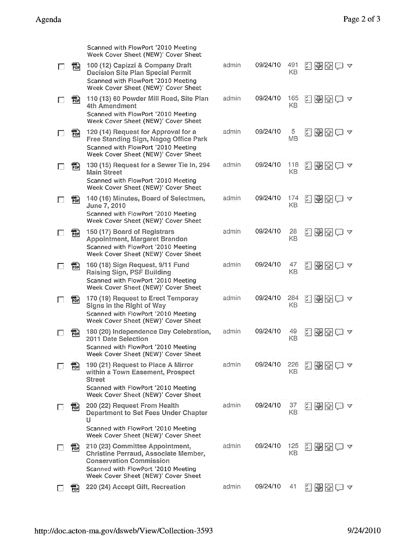|                              | Scanned with FlowPort '2010 Meeting<br>Week Cover Sheet (NEW)' Cover Sheet                                                                                                                                                     |       |          |           |                                                                                                                                                                                                                                                                                                                                                                                                                                                            |
|------------------------------|--------------------------------------------------------------------------------------------------------------------------------------------------------------------------------------------------------------------------------|-------|----------|-----------|------------------------------------------------------------------------------------------------------------------------------------------------------------------------------------------------------------------------------------------------------------------------------------------------------------------------------------------------------------------------------------------------------------------------------------------------------------|
| 黺<br>$\Box$                  | 100 (12) Capizzi & Company Draft<br><b>Decision Site Plan Special Permit</b><br>Scanned with FlowPort '2010 Meeting<br>Week Cover Sheet (NEW)' Cover Sheet                                                                     | admin | 09/24/10 | 491<br>KB | 2009 Q                                                                                                                                                                                                                                                                                                                                                                                                                                                     |
| 嗣                            | 110 (13) 60 Powder Mill Road, Site Plan<br>4th Amendment<br>Scanned with FlowPort '2010 Meeting<br>Week Cover Sheet (NEW)' Cover Sheet                                                                                         | admin | 09/24/10 | 165<br>KB | ND 20 4                                                                                                                                                                                                                                                                                                                                                                                                                                                    |
| 鹘<br>П                       | 120 (14) Request for Approval for a<br>Free Standing Sign, Nagog Office Park<br>Scanned with FlowPort '2010 Meeting<br>Week Cover Sheet (NEW)' Cover Sheet                                                                     | admin | 09/24/10 | 5<br>MB   | 图图图文<br>H                                                                                                                                                                                                                                                                                                                                                                                                                                                  |
| 黺                            | 130 (15) Request for a Sewer Tie In, 294<br><b>Main Street</b><br>Scanned with FlowPort '2010 Meeting<br>Week Cover Sheet (NEW)' Cover Sheet                                                                                   | admin | 09/24/10 | 118<br>KB | <b>网络图画 4</b>                                                                                                                                                                                                                                                                                                                                                                                                                                              |
| 靜                            | 140 (16) Minutes, Board of Selectmen,<br>June 7, 2010<br>Scanned with FlowPort '2010 Meeting<br>Week Cover Sheet (NEW)' Cover Sheet                                                                                            | admin | 09/24/10 | 174<br>KB | 医副圆白区                                                                                                                                                                                                                                                                                                                                                                                                                                                      |
| 羁                            | 150 (17) Board of Registrars<br>Appointment, Margaret Brandon<br>Scanned with FlowPort '2010 Meeting<br>Week Cover Sheet (NEW)' Cover Sheet                                                                                    | admin | 09/24/10 | 28<br>KB  | 日子图白~                                                                                                                                                                                                                                                                                                                                                                                                                                                      |
| - 11)<br>PDF<br>$\mathbf{I}$ | 160 (18) Sign Request, 9/11 Fund<br>Raising Sign, PSF Building<br>Scanned with FlowPort '2010 Meeting<br>Week Cover Sheet (NEW)' Cover Sheet                                                                                   | admin | 09/24/10 | 47<br>KB  | 日图图画~                                                                                                                                                                                                                                                                                                                                                                                                                                                      |
| 靜                            | 170 (19) Request to Erect Temporay<br>Signs in the Right of Way<br>Scanned with FlowPort '2010 Meeting<br>Week Cover Sheet (NEW)' Cover Sheet                                                                                  | admin | 09/24/10 | 284<br>KB | 岡<br>94<br>v                                                                                                                                                                                                                                                                                                                                                                                                                                               |
| PDF                          | 180 (20) Independence Day Celebration,<br>2011 Date Selection<br>Scanned with FlowPort '2010 Meeting<br>Week Cover Sheet (NEW)' Cover Sheet                                                                                    | admin | 09/24/10 | 49<br>KB  | $\begin{bmatrix} \mathbf{u}^t & \mathbf{u} \\ \mathbf{u}^t & \mathbf{u} \end{bmatrix}$<br><u>II (2)</u><br>V                                                                                                                                                                                                                                                                                                                                               |
| PDF                          | 190 (21) Request to Place A Mirror<br>within a Town Easement, Prospect<br><b>Street</b><br>Scanned with FlowPort '2010 Meeting<br>Week Cover Sheet (NEW)' Cover Sheet                                                          | admin | 09/24/10 | 226<br>KВ | $\begin{bmatrix} \mathbf{u}^T & \mathbf{0} & \mathbf{0} & \mathbf{0} & \mathbf{0} & \mathbf{0} & \mathbf{0} & \mathbf{0} & \mathbf{0} & \mathbf{0} & \mathbf{0} & \mathbf{0} & \mathbf{0} & \mathbf{0} & \mathbf{0} & \mathbf{0} & \mathbf{0} & \mathbf{0} & \mathbf{0} & \mathbf{0} & \mathbf{0} & \mathbf{0} & \mathbf{0} & \mathbf{0} & \mathbf{0} & \mathbf{0} & \mathbf{0} & \mathbf{0} & \mathbf{0} & \mathbf{0} & \math$<br>$ \mathcal{F}  \otimes$ |
| គាំ}<br>PDR                  | 200 (22) Request From Health<br>Department to Set Fees Under Chapter<br>U<br>Scanned with FlowPort '2010 Meeting                                                                                                               | admin | 09/24/10 | 37<br>KB  | 저 어 준<br>V                                                                                                                                                                                                                                                                                                                                                                                                                                                 |
| ଳ                            | Week Cover Sheet (NEW)' Cover Sheet<br>210 (23) Committee Appointment,<br>Christine Perraud, Associate Member,<br><b>Conservation Commission</b><br>Scanned with FlowPort '2010 Meeting<br>Week Cover Sheet (NEW)' Cover Sheet | admin | 09/24/10 | 125<br>KВ | $\mathbb{R}$<br>H<br>▽                                                                                                                                                                                                                                                                                                                                                                                                                                     |
| PDR                          | 220 (24) Accept Gift, Recreation                                                                                                                                                                                               | admin | 09/24/10 | 41        | $\bigtriangledown$ $\bigtriangledown$<br>$\begin{bmatrix} 0 \\ 0 \end{bmatrix}$<br>V                                                                                                                                                                                                                                                                                                                                                                       |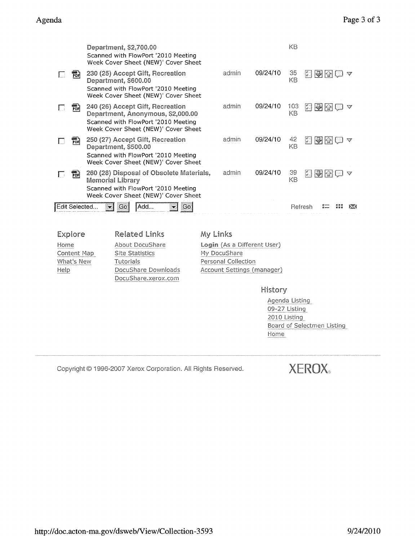|               | Department, \$2,700.00<br>Scanned with FlowPort '2010 Meeting<br>Week Cover Sheet (NEW)' Cover Sheet                                                |       |          | KB        |                 |      |  |
|---------------|-----------------------------------------------------------------------------------------------------------------------------------------------------|-------|----------|-----------|-----------------|------|--|
| For           | 230 (25) Accept Gift, Recreation<br>Department, \$600.00<br>Scanned with FlowPort '2010 Meeting<br>Week Cover Sheet (NEW)' Cover Sheet              | admin | 09/24/10 | 35<br>KB  | 이 뒤 습           |      |  |
| For           | 240 (26) Accept Gift, Recreation<br>Department, Anonymous, \$2,000.00<br>Scanned with FlowPort '2010 Meeting<br>Week Cover Sheet (NEW)' Cover Sheet | admin | 09/24/10 | 103<br>KВ | M               | 14 K |  |
| PDF           | 250 (27) Accept Gift, Recreation<br>Department, \$500.00<br>Scanned with FlowPort '2010 Meeting<br>Week Cover Sheet (NEW)' Cover Sheet              | admin | 09/24/10 | 42<br>KB  | 1 <del>31</del> |      |  |
| POR           | 260 (28) Disposal of Obsolete Materials,<br>Memorial Library<br>Scanned with FlowPort '2010 Meeting<br>Week Cover Sheet (NEW)' Cover Sheet          | admin | 09/24/10 | 39<br>KΒ  | [자카]            |      |  |
| Edit Selected | Add<br>Go<br>Go                                                                                                                                     |       |          |           | Refresh         |      |  |
|               |                                                                                                                                                     |       |          |           |                 |      |  |

Content Map<br>What's New Help

Explore Related Links My Links Site Statistics Tutorials **Personal Collection** DocuShare Downloads Docu Share.xerox.com

Home About DocuShare **Login** (As a Different User) My DocuShare Account Settings (manager)

History

Agenda Listing 09-27 Listing 2010 Listing Board of Selectmen Listing Home

Copyright © 1996-2007 Xerox Corporation. All Rights Reserved.

XEROX®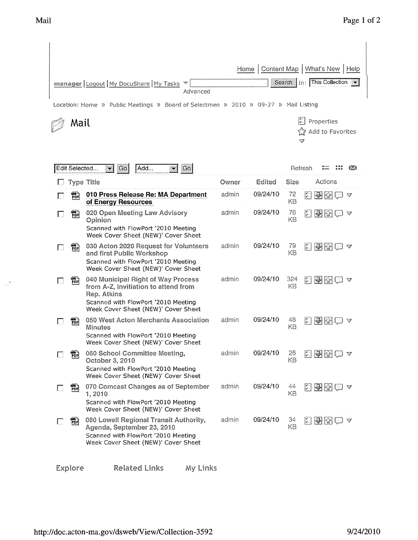$\frac{1}{\log\frac{1}{\delta}}$ 

|      |                 |                                                                                                                                                                         | Home  | Content Map |           | What's New<br>Help                                                                                                    |  |
|------|-----------------|-------------------------------------------------------------------------------------------------------------------------------------------------------------------------|-------|-------------|-----------|-----------------------------------------------------------------------------------------------------------------------|--|
|      |                 | manager   Logout   My DocuShare   My Tasks<br>Advanced                                                                                                                  |       |             | Search    | In: This Collection                                                                                                   |  |
|      |                 | Location: Home » Public Meetings » Board of Selectmen » 2010 » 09-27 » Mail Listing                                                                                     |       |             |           |                                                                                                                       |  |
| Mail |                 |                                                                                                                                                                         |       |             |           | Properties<br>Add to Favorites<br>v                                                                                   |  |
|      | Edit Selected   | Go<br>Add<br> Go <br>$\mathbf{r}$<br>$\blacktriangledown$                                                                                                               |       |             |           | Refresh                                                                                                               |  |
|      |                 | <b>Type Title</b>                                                                                                                                                       | Owner | Edited      | Size      | Actions                                                                                                               |  |
|      | 翤               | 010 Press Release Re: MA Department<br>of Energy Resources                                                                                                              | admin | 09/24/10    | 72<br>KВ  | $\begin{bmatrix} \mathbf{w}^t & \mathbf{w} \\ \mathbf{w}^t & \mathbf{w} \end{bmatrix}$<br>15H<br>$ \mathcal{C} $<br>V |  |
|      | 罰               | 020 Open Meeting Law Advisory<br>Opinion<br>Scanned with FlowPort '2010 Meeting<br>Week Cover Sheet (NEW)' Cover Sheet                                                  | admin | 09/24/10    | 76<br>KB  | 医副图                                                                                                                   |  |
|      | ም።<br>PDR       | 030 Acton 2020 Request for Volunteers<br>and first Public Workshop<br>Scanned with FlowPort '2010 Meeting<br>Week Cover Sheet (NEW)' Cover Sheet                        | admin | 09/24/10    | 79<br>KВ  | 医图图                                                                                                                   |  |
|      | ך יישוב<br> PDF | 040 Municipal Right of Way Process<br>from A-Z, Invitiation to attend from<br>Rep. Atkins<br>Scanned with FlowPort '2010 Meeting<br>Week Cover Sheet (NEW)' Cover Sheet | admin | 09/24/10    | 324<br>KВ | 이 국 합                                                                                                                 |  |
|      | PDR             | 050 West Acton Merchants Association<br>Minutes<br>Scanned with FlowPort '2010 Meeting<br>Week Cover Sheet (NEW)' Cover Sheet                                           | admin | 09/24/10    | 48<br>KВ  | 이 구 오                                                                                                                 |  |
|      | PDH             | 060 School Committee Meeting,<br>October 3, 2010<br>Scanned with FlowPort '2010 Meeting<br>Week Cover Sheet (NEW)' Cover Sheet                                          | admin | 09/24/10    | 26<br>KВ  | 日图图白~                                                                                                                 |  |
|      | 鹘               | 070 Comcast Changes as of September<br>1,2010<br>Scanned with FlowPort '2010 Meeting<br>Week Cover Sheet (NEW)' Cover Sheet                                             | admin | 09/24/10    | 44<br>KB  | <u> 법명법</u> (교<br>V                                                                                                   |  |
|      | 西               | 080 Lowell Regional Transit Authority,<br>Agenda, September 23, 2010<br>Scanned with FlowPort '2010 Meeting<br>Week Cover Sheet (NEW)' Cover Sheet                      | admin | 09/24/10    | 34<br>KB  | 회원업                                                                                                                   |  |
|      | Explore         | <b>Related Links</b><br>My Links                                                                                                                                        |       |             |           |                                                                                                                       |  |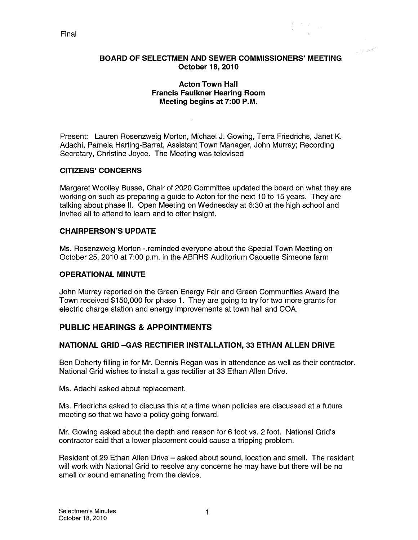#### Final

#### BOARD OF SELECTMEN AND SEWER COMMISSIONERS' MEETING October 18, 2010

#### Acton Town Hall Francis Faulkner Hearing Room Meeting begins at 7:00 P.M.

Present: Lauren Rosenzweig Morton, Michael J. Gowing, Terra Friedrichs, Janet K. Adachi, Pamela Harting-Barrat, Assistant Town Manager, John Murray; Recording Secretary, Christine Joyce. The Meeting was televised

#### CITIZENS' CONCERNS

Margaret Woolley Busse, Chair of 2020 Committee updated the board on what they are working on such as preparing a guide to Acton for the next 10 to 15 years. They are talking about phase II. Open Meeting on Wednesday at 6:30 at the high school and invited all to attend to learn and to offer insight.

#### CHAIRPERSON'S UPDATE

Ms. Rosenzweig Morton -.reminded everyone about the Special Town Meeting on October 25, 2010 at 7:00 p.m. in the ABRHS Auditorium Caouette Simeone farm

#### OPERATIONAL MINUTE

John Murray reported on the Green Energy Fair and Green Communities Award the Town received \$150,000 for phase 1. They are going to try for two more grants for electric charge station and energy improvements at town hall and COA.

### PUBLIC HEARINGS & APPOINTMENTS

#### NATIONAL GRID —GAS RECTIFIER INSTALLATION, 33 ETHAN ALLEN DRIVE

Ben Doherty filling in for Mr. Dennis Regan was in attendance as well as their contractor. National Grid wishes to install a gas rectifier at 33 Ethan Allen Drive.

Ms. Adachi asked about replacement.

Ms. Friedrichs asked to discuss this at a time when policies are discussed at a future meeting so that we have a policy going forward.

Mr. Gowing asked about the depth and reason for 6 foot vs. 2 foot. National Grid's contractor said that a lower placement could cause a tripping problem.

Resident of 29 Ethan Allen Drive — asked about sound, location and smell. The resident will work with National Grid to resolve any concerns he may have but there will be no smell or sound emanating from the device.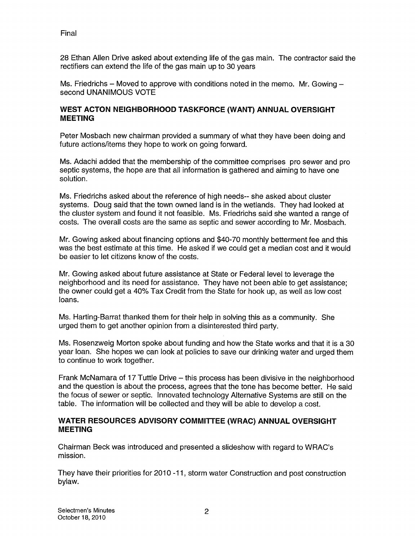Final

28 Ethan Allen Drive asked about extending life of the gas main. The contractor said the rectifiers can extend the life of the gas main up to 30 years

Ms. Friedrichs – Moved to approve with conditions noted in the memo. Mr. Gowing  $$ second UNANIMOUS VOTE

#### WEST ACTON NEIGHBORHOOD TASKFORCE (WANT) ANNUAL OVERSIGHT MEETING

Peter Mosbach new chairman provided a summary of what they have been doing and future actions/items they hope to work on going forward.

Ms. Adachi added that the membership of the committee comprises pro sewer and pro septic systems, the hope are that all information is gathered and aiming to have one solution.

Ms. Friedrichs asked about the reference of high needs-- she asked about cluster systems. Doug said that the town owned land is in the wetlands. They had looked at the cluster system and found it not feasible. Ms. Friedrichs said she wanted a range of costs. The overall costs are the same as septic and sewer according to Mr. Mosbach.

Mr. Gowing asked about financing options and \$40-70 monthly betterment fee and this was the best estimate at this time. He asked if we could get a median cost and it would be easier to let citizens know of the costs.

Mr. Gowing asked about future assistance at State or Federal level to leverage the neighborhood and its need for assistance. They have not been able to get assistance; the owner could get a 40% Tax Credit from the State for hook up, as well as low cost loans.

Ms. Harting-Barrat thanked them for their help in solving this as a community. She urged them to get another opinion from a disinterested third party.

Ms. Rosenzweig Morton spoke about funding and how the State works and that it is a 30 year loan. She hopes we can look at policies to save our drinking water and urged them to continue to work together.

Frank McNamara of 17 Tuttle Drive — this process has been divisive in the neighborhood and the question is about the process, agrees that the tone has become better. He said the focus of sewer or septic. Innovated technology Alternative Systems are still on the table. The information will be collected and they will be able to develop a cost.

#### WATER RESOURCES ADVISORY COMMITTEE (WRAC) ANNUAL OVERSIGHT **MEETING**

Chairman Beck was introduced and presented a slideshow with regard to WRAC's mission.

They have their priorities for 2010 -11, storm water Construction and post construction bylaw.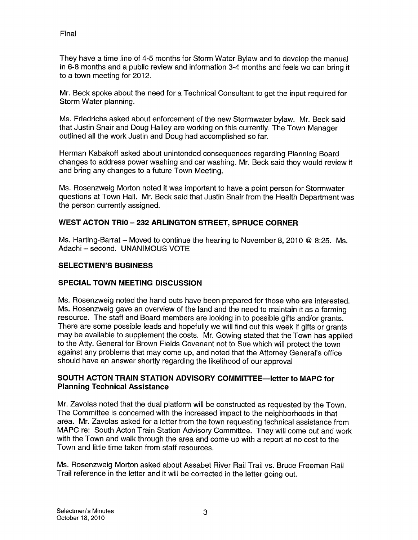They have a time line of 4-5 months for Storm Water Bylaw and to develop the manual in 6-8 months and a public review and information 3-4 months and feels we can bring it to a town meeting for 2012.

Mr. Beck spoke about the need for a Technical Consultant to get the input required for Storm Water planning.

Ms. Friedrichs asked about enforcement of the new Stormwater bylaw. Mr. Beck said that Justin Snair and Doug Halley are working on this currently. The Town Manager outlined all the work Justin and Doug had accomplished so far.

Herman Kabakoff asked about unintended consequences regarding Planning Board changes to address power washing and car washing. Mr. Beck said they would review it and bring any changes to a future Town Meeting.

Ms. Rosenzweig Morton noted it was important to have a point person for Stormwater questions at Town Hall. Mr. Beck said that Justin Snair from the Health Department was the person currently assigned.

#### WEST ACTON TRIO — 232 ARLINGTON STREET, SPRUCE CORNER

Ms. Harting-Barrat – Moved to continue the hearing to November 8, 2010 @ 8:25. Ms. Adachi — second. UNANIMOUS VOTE

#### SELECTMEN'S BUSINESS

#### SPECIAL TOWN MEETING DISCUSSION

Ms. Rosenzweig noted the hand outs have been prepared for those who are interested. Ms. Rosenzweig gave an overview of the land and the need to maintain it as a farming resource. The staff and Board members are looking in to possible gifts and/or grants. There are some possible leads and hopefully we will find out this week if gifts or grants may be available to supplement the costs. Mr. Gowing stated that the Town has applied to the Atty. General for Brown Fields Covenant not to Sue which will protect the town against any problems that may come up, and noted that the Attorney General's office should have an answer shortly regarding the likelihood of our approval

#### SOUTH ACTON TRAIN STATION ADVISORY COMMITTEE—letter to MAPC for Planning Technical Assistance

Mr. Zavolas noted that the dual platform will be constructed as requested by the Town. The Committee is concerned with the increased impact to the neighborhoods in that area. Mr. Zavolas asked for a letter from the town requesting technical assistance from MAPC re: South Acton Train Station Advisory Committee. They will come out and work with the Town and walk through the area and come up with a report at no cost to the Town and little time taken from staff resources.

Ms. Rosenzweig Morton asked about Assabet River Rail Trail vs. Bruce Freeman Rail Trail reference in the letter and it will be corrected in the letter going out.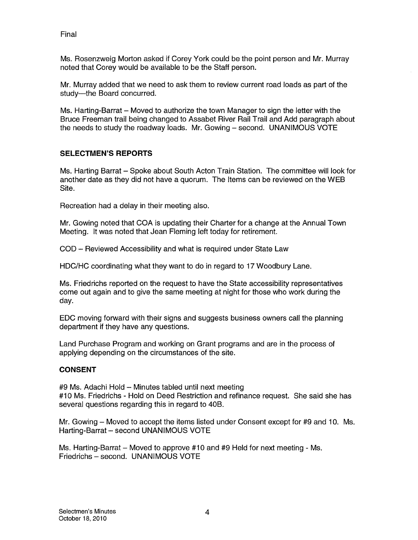Final

Ms. Rosenzweig Morton asked if Corey York could be the point person and Mr. Murray noted that Corey would be available to be the Staff person.

Mr. Murray added that we need to ask them to review current road loads as part of the study—the Board concurred.

Ms. Harting-Barrat — Moved to authorize the town Manager to sign the letter with the Bruce Freeman trail being changed to Assabet River Rail Trail and Add paragraph about the needs to study the roadway loads. Mr. Gowing — second. UNANIMOUS VOTE

### SELECTMEN'S REPORTS

Ms. Harting Barrat — Spoke about South Acton Train Station. The committee will look for another date as they did not have a quorum. The Items can be reviewed on the WEB Site.

Recreation had a delay in their meeting also.

Mr. Gowing noted that COA is updating their Charter for a change at the Annual Town Meeting. It was noted that Jean Fleming left today for retirement.

COD — Reviewed Accessibility and what is required under State Law

HDC/HC coordinating what they want to do in regard to 17 Woodbury Lane.

Ms. Friedrichs reported on the request to have the State accessibility representatives come out again and to give the same meeting at night for those who work during the day.

EDC moving forward with their signs and suggests business owners call the planning department if they have any questions.

Land Purchase Program and working on Grant programs and are in the process of applying depending on the circumstances of the site.

### **CONSENT**

#9 Ms. Adachi Hold — Minutes tabled until next meeting #10 Ms. Friedrichs - Hold on Deed Restriction and refinance request. She said she has several questions regarding this in regard to 40B.

Mr. Gowing — Moved to accept the items listed under Consent except for #9 and 10. Ms. Harting-Barrat — second UNANIMOUS VOTE

Ms. Harting-Barrat — Moved to approve #10 and #9 Held for next meeting - Ms. Friedrichs — second. UNANIMOUS VOTE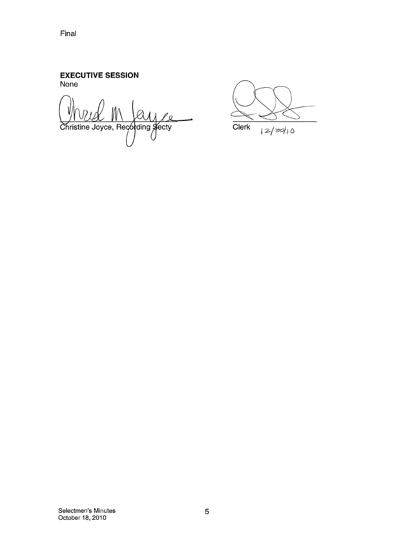Final

#### EXECUTIVE SESSION None

 $\overline{O}$ Christine Joyce, Recording Secty

**Clerk**  $|z|z_0|$ 

Selectmen's Minutes October 18, 2010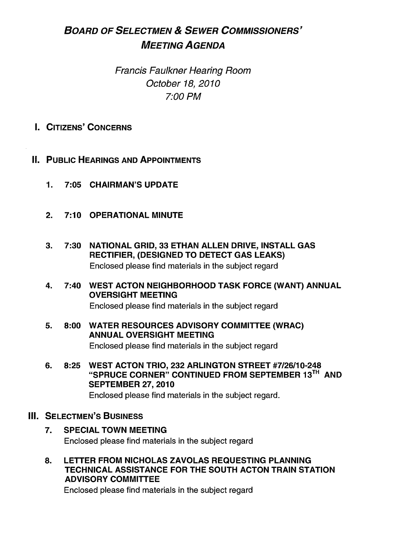# BOARD OF SELECTMEN & SEWER COMMISSIONERS' MEETING AGENDA

Francis Faulkner Hearing Room October 18, 2010 7:00 PM

- I. CITIZENS' CONCERNS
- II. PUBLIC HEARINGS AND APPOINTMENTS
	- 1. 7:05 CHAIRMAN'S UPDATE
	- 2. 7:10 OPERATIONAL MINUTE
	- 3. 7:30 NATIONAL GRID, 33 ETHAN ALLEN DRIVE, INSTALL GAS RECTIFIER, (DESIGNED TO DETECT GAS LEAKS) Enclosed please find materials in the subject regard
	- 4. 7:40 WEST ACTON NEIGHBORHOOD TASK FORCE (WANT) ANNUAL OVERSIGHT MEETING

Enclosed please find materials in the subject regard

- 5. 8:00 WATER RESOURCES ADVISORY COMMITTEE (WRAC) ANNUAL OVERSIGHT MEETING Enclosed please find materials in the subject regard
- 6. 8:25 WEST ACTON TRIO, 232 ARLINGTON STREET #7/26/10-248 "SPRUCE CORNER" CONTINUED FROM SEPTEMBER 13TI AND SEPTEMBER 27, 2010 Enclosed please find materials in the subject regard.
- **III. SELECTMEN'S BUSINESS** 
	- 7. SPECIAL TOWN MEETING Enclosed please find materials in the subject regard
	- 8. LETTER FROM NICHOLAS ZAVOLAS REQUESTING PLANNING TECHNICAL ASSISTANCE FOR THE SOUTH ACTON TRAIN STATION ADVISORY COMMITTEE

Enclosed please find materials in the subject regard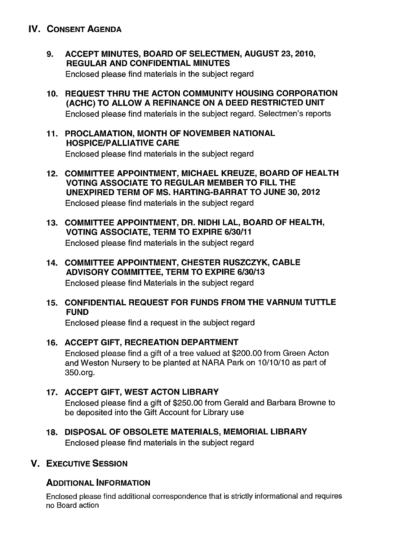# IV. CONSENT AGENDA

- 9. ACCEPT MINUTES, BOARD OF SELECTMEN, AUGUST 23, 2010, REGULAR AND CONFIDENTIAL MINUTES Enclosed please find materials in the subject regard
- 10. REQUEST THRU THE ACTON COMMUNITY HOUSING CORPORATION (ACHC) TO ALLOW A REFINANCE ON A DEED RESTRICTED UNIT Enclosed please find materials in the subject regard. Selectmen's reports
- 11. PROCLAMATION, MONTH OF NOVEMBER NATIONAL HOSPICE/PALLIATIVE CARE Enclosed please find materials in the subject regard
- 12. COMMITTEE APPOINTMENT, MICHAEL KREUZE, BOARD OF HEALTH VOTING ASSOCIATE TO REGULAR MEMBER TO FILL THE UNEXPIRED TERM OF MS. HARTING-BARRAT TO JUNE 30, 2012 Enclosed please find materials in the subject regard
- 13. COMMITTEE APPOINTMENT, DR. NIDHI LAL, BOARD OF HEALTH, VOTING ASSOCIATE, TERM TO EXPIRE 6/30/11 Enclosed please find materials in the subject regard
- 14. COMMITTEE APPOINTMENT, CHESTER RUSZCZYK, CABLE ADVISORY COMMITTEE, TERM TO EXPIRE 6/30/13 Enclosed please find Materials in the subject regard
- 15. CONFIDENTIAL REQUEST FOR FUNDS FROM THE VARNUM TUTTLE FUND

Enclosed please find a request in the subject regard

- 16. ACCEPT GIFT, RECREATION DEPARTMENT Enclosed please find a gift of a tree valued at \$200.00 from Green Acton and Weston Nursery to be planted at NARA Park on 10/10/10 as part of 350 .org.
- 17. ACCEPT GIFT, WEST ACTON LIBRARY Enclosed please find a gift of \$250.00 from Gerald and Barbara Browne to be deposited into the Gift Account for Library use
- 18. DISPOSAL OF OBSOLETE MATERIALS, MEMORIAL LIBRARY Enclosed please find materials in the subject regard

# V. EXECUTIVE SESSION

# ADDITIONAL INFORMATION

Enclosed please find additional correspondence that is strictly informational and requires no Board action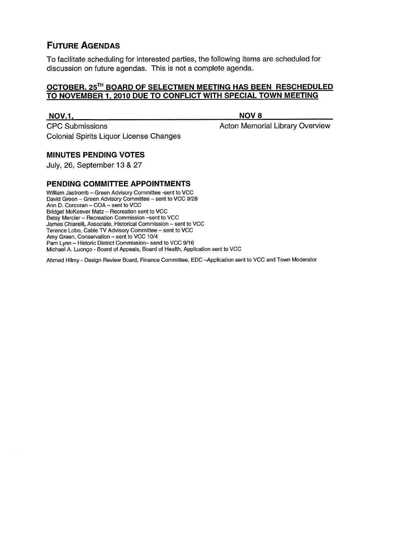# FUTURE AGENDAS

To facilitate scheduling for interested parties, the following items are scheduled for discussion on future agendas. This is not a complete agenda.

#### OCTOBER. 25TH BOARD OF SELECTMEN MEETING HAS BEEN RESCHEDULED TO NOVEMBER 1. 2010 DUE TO CONFLICT WITH SPECIAL TOWN MEETING

#### NOV.1, NOV8

CPC Submissions **Acton Memorial Library Overview** Colonial Spirits Liquor License Changes

# MINUTES PENDING VOTES

July, 26, September 13 & 27

#### PENDING COMMITTEE APPOINTMENTS

William Jastromb — Green Advisory Committee -sent to VCC David Green — Green Advisory Committee — sent to VCC 9/28 Ann D. Corcoran — COA — sent to VCC Bridget McKeever Matz — Recreation sent to VCC Betsy Mercier — Recreation Commission —sent to VCC James Chiarelli, Associate, Historical Commission — sent to VCC Terence Lobo, Cable TV Advisory Committee — sent to VCC Amy Green, Conservation — sent to VCC 10/4 Pam Lynn — Historic District Commission— send to VCC 9/16 Michael A. Luongo -Board of Appeals, Board of Health, Application sent to VCC

Ahmed Hilmy - Design Review Board, Finance Committee, EDC —Application sent to VCC and Town Moderator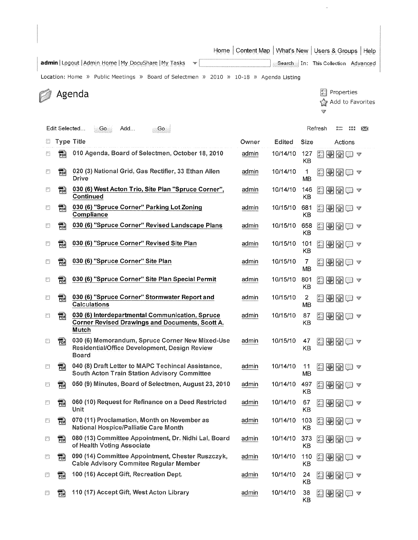Home Content Map | What's New | Users & Groups | Help

admin | Logout | Admin Home | My DocuShare | My Tasks

Location: Home  $\gg$  Public Meetings  $\gg$  Board of Selectmen  $\gg$  2010  $\gg$  10-18  $\gg$  Agenda Listing

Agenda

| Properties |  |                     |  |  |  |  |  |
|------------|--|---------------------|--|--|--|--|--|
|            |  | ≮ু Add to Favorites |  |  |  |  |  |
|            |  |                     |  |  |  |  |  |

Search In: This Collection Advanced

Edit Selected... Go Add... Go Refresh  $\sum_{i=1}^{n}$ Type Title Owner Edited Size Actions 屑 010 Agenda, Board of Selectmen, October 18, 2010 admin 10/14/10 127 图图图 KB 四  $POP$ 020 (3) National Grid, Gas Rectifier, 33 Ethan Allen admin 10/14/10 1  $\Box$  O  $\Box$   $\triangledown$  $\Box$ POR 030 (6) West Acton Trio, Site Plan "Spruce Corner", admin 10/14/10 146 日田田田~ **Continued KB** 030 (6) "Spruce Corner" Parking Lot Zoning admin 10/15/10 681 **4**  $\mathbb{F}^n$ **PDR** Compliance KB **For** 030 (6) "Spruce Corner" Revised Landscape Plans admin 10/15/10 658 ② ③ ③ v 個  $\begin{bmatrix} 1 & 0 \\ 0 & 1 \end{bmatrix}$ 030 (6) "Spruce Corner" Revised Site Plan admin 10/15/10 101 FOR 图图图图▼ KB 030 (6) "Spruce Corner" Site Plan and the state of admin 10/15/10 7  $\Box$ 酇 MB 030 (6) "Spruce Corner" Site Plan Special Permit admin 10/15/10 801 日日图 マ  $\Box$ PDR KB 030 (6) "Spruce Corner" Stormwater Report and admin 10/15/10 2 【日日日日<br>Calculations MB  $\begin{array}{c} \hline \end{array}$ 翻 030 (6) Interdepartmental Communication, Spruce admin 10/15/10 87 **A. Corner Revised Drawings and Documents, Scott A.** KB E ana iyo<br>PDF Mutch 030 (6) Memorandum, Spruce Corner New Mixed-Use admin 10/15/10 47<br>Residential/Office Development, Design Review KB  $\begin{bmatrix} 2 & 1 \\ 1 & 1 \end{bmatrix}$ 需 医图图自文 Residential/Office Development, Design Review Board 040 (8) Draft Letter to MAPC Techincal Assistance, admin 10/14/10 11 O **job** 040 (8) Draft Letter to MAPC Techincal Assistance, admin 10/14/10 11 **C. O.** G.<br>South Acton Train Station Advisory Committee<br>**10/14/10 497 C. O. O.** Minutes, Board of Selectmen, August 23, 2010 admin 10/14/10 497 C. South Acton Train Station Advisory Committee MB 집 KB 060 (10) Request for Refinance on a Deed Restricted admin 10/14/10 67  $\Box \Box \Box \Box \Box$ ₩ **PDR** 070 (11) Proclamation, Month on November as  $\qquad \qquad \frac{\text{admin}}{\text{admin}}$  10/14/10 103 .  $\blacksquare \blacksquare \blacksquare \blacksquare$ O 髓 National Hospice/Palliatie Care Month 080 (13) Committee Appointment, Dr. Nidhi Lal, Board admin 10/14/10 373<br>of Health Voting Associate 罰 FOR e<del>n</del>ae v of Health Voting Associate ₩ FDR 090 (14) Committee Appointment, Chester Ruszczyk, admin 10/14/10 110 **FU V** Cable Advisory Commitee Regular Member Cable Advisory Commitee Regular Member PDR 100 (16) Accept Gift, Recreation Dept.<br>KB<br>KB ₩ 110 (17) Accept Gift, West Acton Library admin 10/14/10 38  $\blacksquare \blacksquare \blacksquare \blacksquare$ n PDR KB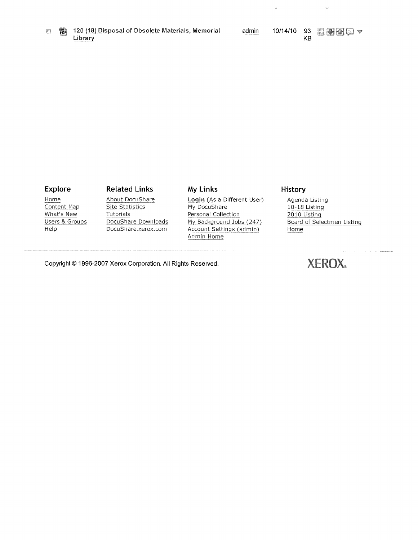$\overline{a}$ 

 $\overline{\phantom{a}}$ 

#### Explore Related Links My Links History

Content Map Site Statistics My DocuShare<br>
What's New Tutorials Personal Collect

Home About DocuShare **Login** (As a Different User) Agenda Listing<br>
Content Map Site Statistics My DocuShare 10-18 Listing Tutorials **Personal Collection** 2010 Listing Users & Groups DocuShare Downloads My Background Jobs (247) Board of Selectmen Listing<br>
Help Board DocuShare.xerox.com Account Settings (admin) Home Account Settings (admin) Admin Home

Copyright © 1996-2007 Xerox Corporation. All Rights Reserved.  $\text{XEROX}_{*}$